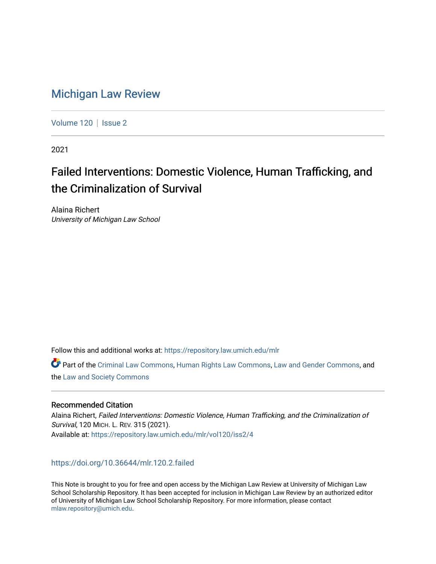# [Michigan Law Review](https://repository.law.umich.edu/mlr)

[Volume 120](https://repository.law.umich.edu/mlr/vol120) | [Issue 2](https://repository.law.umich.edu/mlr/vol120/iss2)

2021

# Failed Interventions: Domestic Violence, Human Trafficking, and the Criminalization of Survival

Alaina Richert University of Michigan Law School

Follow this and additional works at: [https://repository.law.umich.edu/mlr](https://repository.law.umich.edu/mlr?utm_source=repository.law.umich.edu%2Fmlr%2Fvol120%2Fiss2%2F4&utm_medium=PDF&utm_campaign=PDFCoverPages) 

Part of the [Criminal Law Commons,](http://network.bepress.com/hgg/discipline/912?utm_source=repository.law.umich.edu%2Fmlr%2Fvol120%2Fiss2%2F4&utm_medium=PDF&utm_campaign=PDFCoverPages) [Human Rights Law Commons](http://network.bepress.com/hgg/discipline/847?utm_source=repository.law.umich.edu%2Fmlr%2Fvol120%2Fiss2%2F4&utm_medium=PDF&utm_campaign=PDFCoverPages), [Law and Gender Commons](http://network.bepress.com/hgg/discipline/1298?utm_source=repository.law.umich.edu%2Fmlr%2Fvol120%2Fiss2%2F4&utm_medium=PDF&utm_campaign=PDFCoverPages), and the [Law and Society Commons](http://network.bepress.com/hgg/discipline/853?utm_source=repository.law.umich.edu%2Fmlr%2Fvol120%2Fiss2%2F4&utm_medium=PDF&utm_campaign=PDFCoverPages) 

## Recommended Citation

Alaina Richert, Failed Interventions: Domestic Violence, Human Trafficking, and the Criminalization of Survival, 120 MICH. L. REV. 315 (2021). Available at: [https://repository.law.umich.edu/mlr/vol120/iss2/4](https://repository.law.umich.edu/mlr/vol120/iss2/4?utm_source=repository.law.umich.edu%2Fmlr%2Fvol120%2Fiss2%2F4&utm_medium=PDF&utm_campaign=PDFCoverPages) 

## <https://doi.org/10.36644/mlr.120.2.failed>

This Note is brought to you for free and open access by the Michigan Law Review at University of Michigan Law School Scholarship Repository. It has been accepted for inclusion in Michigan Law Review by an authorized editor of University of Michigan Law School Scholarship Repository. For more information, please contact [mlaw.repository@umich.edu.](mailto:mlaw.repository@umich.edu)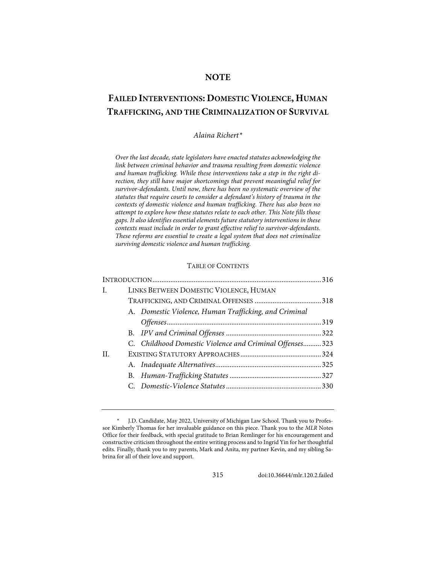### **NOTE**

# **FAILED INTERVENTIONS: DOMESTIC VIOLENCE, HUMAN TRAFFICKING, AND THE CRIMINALIZATION OF SURVIVAL**

#### *Alaina Richert[\\*](#page-1-0)*

*Over the last decade, state legislators have enacted statutes acknowledging the link between criminal behavior and trauma resulting from domestic violence and human trafficking. While these interventions take a step in the right direction, they still have major shortcomings that prevent meaningful relief for survivor-defendants. Until now, there has been no systematic overview of the statutes that require courts to consider a defendant's history of trauma in the contexts of domestic violence and human trafficking. There has also been no attempt to explore how these statutes relate to each other. This Note fills those gaps. It also identifies essential elements future statutory interventions in these contexts must include in order to grant effective relief to survivor-defendants. These reforms are essential to create a legal system that does not criminalize surviving domestic violence and human trafficking.*

#### TABLE OF CONTENTS

| $\mathbf{I}$ . | LINKS BETWEEN DOMESTIC VIOLENCE, HUMAN                   |  |
|----------------|----------------------------------------------------------|--|
|                |                                                          |  |
|                | A. Domestic Violence, Human Trafficking, and Criminal    |  |
|                |                                                          |  |
|                |                                                          |  |
|                | C. Childhood Domestic Violence and Criminal Offenses 323 |  |
| H.             |                                                          |  |
|                |                                                          |  |
|                |                                                          |  |
|                |                                                          |  |
|                |                                                          |  |

315 [doi:10.36644/mlr.120.2.failed](https://doi.org/10.36644/mlr.120.2.failed)

<span id="page-1-0"></span><sup>\*</sup> J.D. Candidate, May 2022, University of Michigan Law School. Thank you to Professor Kimberly Thomas for her invaluable guidance on this piece. Thank you to the *MLR* Notes Office for their feedback, with special gratitude to Brian Remlinger for his encouragement and constructive criticism throughout the entire writing process and to Ingrid Yin for her thoughtful edits. Finally, thank you to my parents, Mark and Anita, my partner Kevin, and my sibling Sabrina for all of their love and support.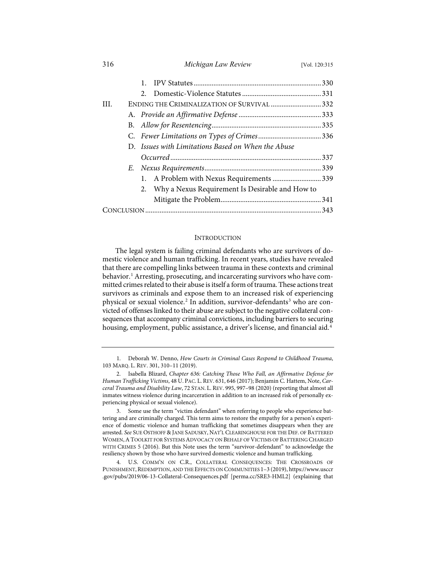|     |  | 1.                                                 |  |
|-----|--|----------------------------------------------------|--|
|     |  | $\mathcal{L}$                                      |  |
| HL. |  | ENDING THE CRIMINALIZATION OF SURVIVAL  332        |  |
|     |  |                                                    |  |
|     |  |                                                    |  |
|     |  |                                                    |  |
|     |  | D. Issues with Limitations Based on When the Abuse |  |
|     |  |                                                    |  |
|     |  |                                                    |  |
|     |  | 1. A Problem with Nexus Requirements 339           |  |
|     |  | 2. Why a Nexus Requirement Is Desirable and How to |  |
|     |  |                                                    |  |
|     |  |                                                    |  |

316 *Michigan Law Review* [Vol. 120:315

#### <span id="page-2-7"></span><span id="page-2-6"></span><span id="page-2-4"></span>**INTRODUCTION**

<span id="page-2-5"></span>The legal system is failing criminal defendants who are survivors of domestic violence and human trafficking. In recent years, studies have revealed that there are compelling links between trauma in these contexts and criminal behavior.<sup>[1](#page-2-0)</sup> Arresting, prosecuting, and incarcerating survivors who have committed crimes related to their abuse is itself a form of trauma. These actions treat survivors as criminals and expose them to an increased risk of experiencing physical or sexual violence.<sup>[2](#page-2-1)</sup> In addition, survivor-defendants<sup>[3](#page-2-2)</sup> who are convicted of offenses linked to their abuse are subject to the negative collateral consequences that accompany criminal convictions, including barriers to securing housing, employment, public assistance, a driver's license, and financial aid.<sup>[4](#page-2-3)</sup>

<span id="page-2-0"></span><sup>1.</sup> Deborah W. Denno, *How Courts in Criminal Cases Respond to Childhood Trauma*, 103 MARQ. L. REV. 301, 310–11 (2019).

<span id="page-2-1"></span><sup>2.</sup> Isabella Blizard, *Chapter 636: Catching Those Who Fall, an Affirmative Defense for Human Trafficking Victims*, 48 U. PAC. L. REV. 631, 646 (2017); Benjamin C. Hattem, Note, *Carceral Trauma and Disability Law*, 72 STAN. L. REV. 995, 997–98 (2020) (reporting that almost all inmates witness violence during incarceration in addition to an increased risk of personally experiencing physical or sexual violence).

<span id="page-2-2"></span><sup>3.</sup> Some use the term "victim defendant" when referring to people who experience battering and are criminally charged. This term aims to restore the empathy for a person's experience of domestic violence and human trafficking that sometimes disappears when they are arrested. *See* SUE OSTHOFF & JANE SADUSKY, NAT'L CLEARINGHOUSE FOR THE DEF. OF BATTERED WOMEN,ATOOLKIT FOR SYSTEMS ADVOCACY ON BEHALF OF VICTIMS OF BATTERING CHARGED WITH CRIMES 5 (2016). But this Note uses the term "survivor-defendant" to acknowledge the resiliency shown by those who have survived domestic violence and human trafficking.

<span id="page-2-3"></span><sup>4.</sup> U.S. COMM'N ON C.R., COLLATERAL CONSEQUENCES: THE CROSSROADS OF PUNISHMENT,REDEMPTION, AND THE EFFECTS ON COMMUNITIES 1–3 (2019)[, https://www.usccr](https://www.usccr.gov/pubs/2019/06-13-Collateral-Consequences.pdf) [.gov/pubs/2019/06-13-Collateral-Consequences.pdf](https://www.usccr.gov/pubs/2019/06-13-Collateral-Consequences.pdf) [\[perma.cc/SRE3-HML2\]](https://perma.cc/SRE3-HML2) (explaining that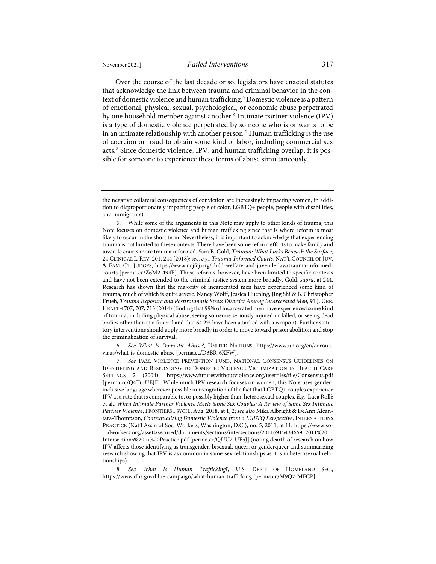Over the course of the last decade or so, legislators have enacted statutes that acknowledge the link between trauma and criminal behavior in the con-text of domestic violence and human trafficking.<sup>[5](#page-3-0)</sup> Domestic violence is a pattern of emotional, physical, sexual, psychological, or economic abuse perpetrated by one household member against another.<sup>[6](#page-3-1)</sup> Intimate partner violence (IPV) is a type of domestic violence perpetrated by someone who is or wants to be in an intimate relationship with another person.<sup>[7](#page-3-2)</sup> Human trafficking is the use of coercion or fraud to obtain some kind of labor, including commercial sex acts.<sup>[8](#page-3-3)</sup> Since domestic violence, IPV, and human trafficking overlap, it is pos-

<span id="page-3-4"></span>sible for someone to experience these forms of abuse simultaneously.

<span id="page-3-1"></span>6. *See What Is Domestic Abuse?*, UNITED NATIONS, [https://www.un.org/en/corona](https://www.un.org/en/coronavirus/what-is-domestic-abuse)[virus/what-is-domestic-abuse](https://www.un.org/en/coronavirus/what-is-domestic-abuse) [\[perma.cc/D3BR-6XFW\]](https://perma.cc/D3BR-6XFW).

<span id="page-3-2"></span>7. *See* FAM. VIOLENCE PREVENTION FUND, NATIONAL CONSENSUS GUIDELINES ON IDENTIFYING AND RESPONDING TO DOMESTIC VIOLENCE VICTIMIZATION IN HEALTH CARE SETTINGS 2 (2004), <https://www.futureswithoutviolence.org/userfiles/file/Consensus.pdf> [\[perma.cc/Q4T6-UEJF\]](https://perma.cc/Q4T6-UEJF). While much IPV research focuses on women, this Note uses genderinclusive language wherever possible in recognition of the fact that LGBTQ+ couples experience IPV at a rate that is comparable to, or possibly higher than, heterosexual couples. *E.g.*, Luca Rollè et al., *When Intimate Partner Violence Meets Same Sex Couples: A Review of Same Sex Intimate Partner Violence*, FRONTIERS PSYCH., Aug. 2018, at 1, 2; *see also* Mika Albright & DeAnn Alcantara-Thompson, *Contextualizing Domestic Violence from a LGBTQ Perspective*, INTERSECTIONS PRACTICE (Nat'l Ass'n of Soc. Workers, Washington, D.C.), no. 5, 2011, at 11[, https://www.so](https://www.socialworkers.org/assets/secured/documents/sections/intersections/20116915434669_2011%20Intersections%20in%20Practice.pdf)[cialworkers.org/assets/secured/documents/sections/intersections/20116915434669\\_2011%20](https://www.socialworkers.org/assets/secured/documents/sections/intersections/20116915434669_2011%20Intersections%20in%20Practice.pdf) [Intersections%20in%20Practice.pdf](https://www.socialworkers.org/assets/secured/documents/sections/intersections/20116915434669_2011%20Intersections%20in%20Practice.pdf) [\[perma.cc/QUU2-UF5J\]](https://perma.cc/QUU2-UF5J) (noting dearth of research on how IPV affects those identifying as transgender, bisexual, queer, or genderqueer and summarizing research showing that IPV is as common in same-sex relationships as it is in heterosexual relationships).

<span id="page-3-3"></span>8. *See What Is Human Trafficking?*, U.S. DEP'T OF HOMELAND SEC., <https://www.dhs.gov/blue-campaign/what-human-trafficking> [\[perma.cc/M9Q7-MFCP\]](https://perma.cc/M9Q7-MFCP).

the negative collateral consequences of conviction are increasingly impacting women, in addition to disproportionately impacting people of color, LGBTQ+ people, people with disabilities, and immigrants).

<span id="page-3-0"></span><sup>5.</sup> While some of the arguments in this Note may apply to other kinds of trauma, this Note focuses on domestic violence and human trafficking since that is where reform is most likely to occur in the short term. Nevertheless, it is important to acknowledge that experiencing trauma is not limited to these contexts. There have been some reform efforts to make family and juvenile courts more trauma informed. Sara E. Gold, *Trauma: What Lurks Beneath the Surface*, 24 CLINICAL L. REV. 201, 244 (2018); *see, e.g.*, *Trauma-Informed Courts*, NAT'L COUNCIL OF JUV. & FAM. CT. JUDGES, [https://www.ncjfcj.org/child-welfare-and-juvenile-law/trauma-informed](https://www.ncjfcj.org/child-welfare-and-juvenile-law/trauma-informed-courts/)[courts](https://www.ncjfcj.org/child-welfare-and-juvenile-law/trauma-informed-courts/) [\[perma.cc/Z6M2-494P\]](https://perma.cc/Z6M2-494P). Those reforms, however, have been limited to specific contexts and have not been extended to the criminal justice system more broadly. Gold, *supra*, at 244. Research has shown that the majority of incarcerated men have experienced some kind of trauma, much of which is quite severe. Nancy Wolff, Jessica Huening, Jing Shi & B. Christopher Frueh, *Trauma Exposure and Posttraumatic Stress Disorder Among Incarcerated Men*, 91 J. URB. HEALTH 707, 707, 713 (2014) (finding that 99% of incarcerated men have experienced some kind of trauma, including physical abuse, seeing someone seriously injured or killed, or seeing dead bodies other than at a funeral and that 64.2% have been attacked with a weapon). Further statutory interventionsshould apply more broadly in order to move toward prison abolition and stop the criminalization of survival.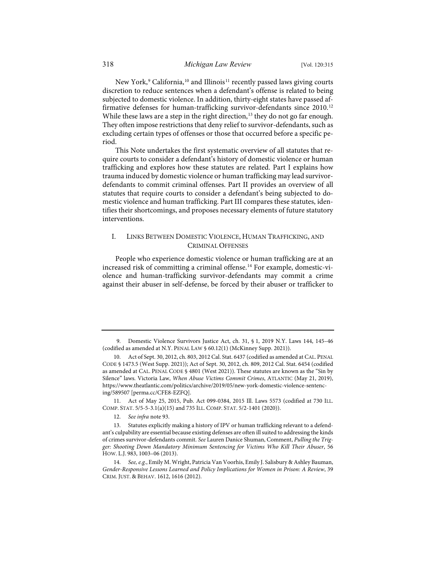<span id="page-4-7"></span>New York,<sup>[9](#page-4-0)</sup> California,<sup>[10](#page-4-1)</sup> and Illinois<sup>[11](#page-4-2)</sup> recently passed laws giving courts discretion to reduce sentences when a defendant's offense is related to being subjected to domestic violence. In addition, thirty-eight states have passed af-firmative defenses for human-trafficking survivor-defendants since 2010.<sup>[12](#page-4-3)</sup> While these laws are a step in the right direction,<sup>[13](#page-4-4)</sup> they do not go far enough. They often impose restrictions that deny relief to survivor-defendants, such as excluding certain types of offenses or those that occurred before a specific period.

This Note undertakes the first systematic overview of all statutes that require courts to consider a defendant's history of domestic violence or human trafficking and explores how these statutes are related. Part I explains how trauma induced by domestic violence or human trafficking may lead survivordefendants to commit criminal offenses. Part II provides an overview of all statutes that require courts to consider a defendant's being subjected to domestic violence and human trafficking. Part III compares these statutes, identifies their shortcomings, and proposes necessary elements of future statutory interventions.

#### <span id="page-4-6"></span>I. LINKS BETWEEN DOMESTIC VIOLENCE, HUMAN TRAFFICKING, AND CRIMINAL OFFENSES

People who experience domestic violence or human trafficking are at an increased risk of committing a criminal offense.<sup>[14](#page-4-5)</sup> For example, domestic-violence and human-trafficking survivor-defendants may commit a crime against their abuser in self-defense, be forced by their abuser or trafficker to

12. *See infra* not[e 93.](#page-13-0)

<span id="page-4-0"></span><sup>9.</sup> Domestic Violence Survivors Justice Act, ch. 31, § 1, 2019 N.Y. Laws 144, 145–46 (codified as amended at N.Y. PENAL LAW § 60.12(1) (McKinney Supp. 2021)).

<span id="page-4-1"></span><sup>10.</sup> Act of Sept. 30, 2012, ch. 803, 2012 Cal. Stat. 6437 (codified as amended at CAL. PENAL CODE § 1473.5 (West Supp. 2021)); Act of Sept. 30, 2012, ch. 809, 2012 Cal. Stat. 6454 (codified as amended at CAL. PENAL CODE § 4801 (West 2021)). These statutes are known as the "Sin by Silence" laws. Victoria Law, *When Abuse Victims Commit Crimes*, ATLANTIC (May 21, 2019), [https://www.theatlantic.com/politics/archive/2019/05/new-york-domestic-violence-sentenc](https://www.theatlantic.com/politics/archive/2019/05/new-york-domestic-violence-sentencing/589507/)[ing/589507](https://www.theatlantic.com/politics/archive/2019/05/new-york-domestic-violence-sentencing/589507/) [\[perma.cc/CFE8-EZFQ\]](https://perma.cc/CFE8-EZFQ).

<span id="page-4-2"></span><sup>11.</sup> Act of May 25, 2015, Pub. Act 099-0384, 2015 Ill. Laws 5573 (codified at 730 ILL. COMP. STAT. 5/5-5-3.1(a)(15) and 735 ILL. COMP. STAT. 5/2-1401 (2020)).

<span id="page-4-4"></span><span id="page-4-3"></span><sup>13.</sup> Statutes explicitly making a history of IPV or human trafficking relevant to a defendant's culpability are essential because existing defenses are often ill suited to addressing the kinds of crimes survivor-defendants commit. *See* Lauren Danice Shuman, Comment, *Pulling the Trigger: Shooting Down Mandatory Minimum Sentencing for Victims Who Kill Their Abuser*, 56 HOW. L.J. 983, 1003–06 (2013).

<span id="page-4-5"></span><sup>14.</sup> *See, e.g.*, Emily M. Wright, Patricia Van Voorhis, Emily J. Salisbury & Ashley Bauman, *Gender-Responsive Lessons Learned and Policy Implications for Women in Prison: A Review*, 39 CRIM. JUST. & BEHAV. 1612, 1616 (2012).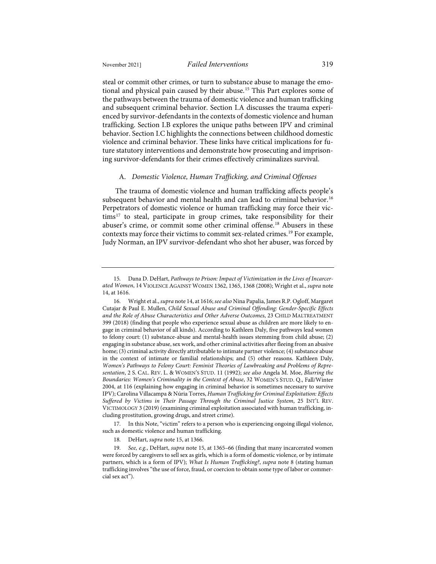<span id="page-5-0"></span>steal or commit other crimes, or turn to substance abuse to manage the emo-tional and physical pain caused by their abuse.<sup>[15](#page-5-1)</sup> This Part explores some of the pathways between the trauma of domestic violence and human trafficking and subsequent criminal behavior. Section I.A discusses the trauma experienced by survivor-defendants in the contexts of domestic violence and human trafficking. Section I.B explores the unique paths between IPV and criminal behavior. Section I.C highlights the connections between childhood domestic violence and criminal behavior. These links have critical implications for future statutory interventions and demonstrate how prosecuting and imprisoning survivor-defendants for their crimes effectively criminalizes survival.

# A. *Domestic Violence, Human Trafficking, and Criminal Offenses*

The trauma of domestic violence and human trafficking affects people's subsequent behavior and mental health and can lead to criminal behavior.<sup>[16](#page-5-2)</sup> Perpetrators of domestic violence or human trafficking may force their vic- $tims<sup>17</sup>$  $tims<sup>17</sup>$  $tims<sup>17</sup>$  to steal, participate in group crimes, take responsibility for their abuser's crime, or commit some other criminal offense.[18](#page-5-4) Abusers in these contexts may force their victims to commit sex-related crimes.[19](#page-5-5) For example, Judy Norman, an IPV survivor-defendant who shot her abuser, was forced by

<span id="page-5-3"></span>17. In this Note, "victim" refers to a person who is experiencing ongoing illegal violence, such as domestic violence and human trafficking.

18. DeHart, *supra* not[e 15,](#page-5-0) at 1366.

<span id="page-5-1"></span><sup>15.</sup> Dana D. DeHart, *Pathways to Prison: Impact of Victimization in the Lives of Incarcerated Women*, 14 VIOLENCE AGAINST WOMEN 1362, 1365, 1368 (2008); Wright et al., *supra* note [14,](#page-4-6) at 1616.

<span id="page-5-2"></span><sup>16.</sup> Wright et al., *supra* not[e 14,](#page-4-6) at 1616; *see also* Nina Papalia, James R.P. Ogloff, Margaret Cutajar & Paul E. Mullen, *Child Sexual Abuse and Criminal Offending: Gender-Specific Effects and the Role of Abuse Characteristics and Other Adverse Outcomes*, 23 CHILD MALTREATMENT 399 (2018) (finding that people who experience sexual abuse as children are more likely to engage in criminal behavior of all kinds). According to Kathleen Daly, five pathways lead women to felony court: (1) substance-abuse and mental-health issues stemming from child abuse; (2) engaging in substance abuse, sex work, and other criminal activities after fleeing from an abusive home; (3) criminal activity directly attributable to intimate partner violence; (4) substance abuse in the context of intimate or familial relationships; and (5) other reasons. Kathleen Daly, *Women's Pathways to Felony Court: Feminist Theories of Lawbreaking and Problems of Representation*, 2 S. CAL. REV. L. & WOMEN'S STUD. 11 (1992); *see also* Angela M. Moe, *Blurring the Boundaries: Women's Criminality in the Context of Abuse*, 32 WOMEN'S STUD. Q., Fall/Winter 2004, at 116 (explaining how engaging in criminal behavior is sometimes necessary to survive IPV); Carolina Villacampa & Núria Torres, *Human Trafficking for Criminal Exploitation: Effects Suffered by Victims in Their Passage Through the Criminal Justice System*, 25 INT'L REV. VICTIMOLOGY 3 (2019) (examining criminal exploitation associated with human trafficking, including prostitution, growing drugs, and street crime).

<span id="page-5-5"></span><span id="page-5-4"></span><sup>19.</sup> *See, e.g.*, DeHart, *supra* note [15,](#page-5-0) at 1365–66 (finding that many incarcerated women were forced by caregivers to sell sex as girls, which is a form of domestic violence, or by intimate partners, which is a form of IPV); *What Is Human Trafficking?*, *supra* note [8](#page-3-4) (stating human trafficking involves "the use of force, fraud, or coercion to obtain some type of labor or commercial sex act").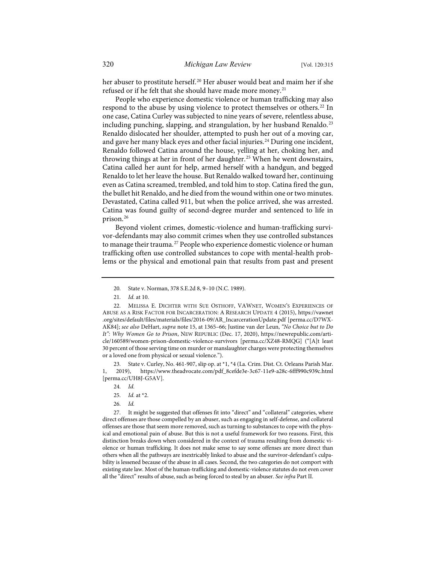her abuser to prostitute herself.[20](#page-6-0) Her abuser would beat and maim her if she refused or if he felt that she should have made more money.<sup>[21](#page-6-1)</sup>

<span id="page-6-8"></span>People who experience domestic violence or human trafficking may also respond to the abuse by using violence to protect themselves or others.<sup>[22](#page-6-2)</sup> In one case, Catina Curley was subjected to nine years of severe, relentless abuse, including punching, slapping, and strangulation, by her husband Renaldo.<sup>[23](#page-6-3)</sup> Renaldo dislocated her shoulder, attempted to push her out of a moving car, and gave her many black eyes and other facial injuries.<sup>[24](#page-6-4)</sup> During one incident, Renaldo followed Catina around the house, yelling at her, choking her, and throwing things at her in front of her daughter.<sup>[25](#page-6-5)</sup> When he went downstairs, Catina called her aunt for help, armed herself with a handgun, and begged Renaldo to let her leave the house. But Renaldo walked toward her, continuing even as Catina screamed, trembled, and told him to stop. Catina fired the gun, the bullet hit Renaldo, and he died from the wound within one or two minutes. Devastated, Catina called 911, but when the police arrived, she was arrested. Catina was found guilty of second-degree murder and sentenced to life in prison.[26](#page-6-6)

<span id="page-6-9"></span>Beyond violent crimes, domestic-violence and human-trafficking survivor-defendants may also commit crimes when they use controlled substances to manage their trauma.<sup>[27](#page-6-7)</sup> People who experience domestic violence or human trafficking often use controlled substances to cope with mental-health problems or the physical and emotional pain that results from past and present

<span id="page-6-4"></span><span id="page-6-3"></span>23. State v. Curley, No. 461-907, slip op. at \*1, \*4 (La. Crim. Dist. Ct. Orleans Parish Mar. 1, 2019), [https://www.theadvocate.com/pdf\\_8cefde3e-3c67-11e9-a28c-6fff990c939c.html](https://www.theadvocate.com/pdf_8cefde3e-3c67-11e9-a28c-6fff990c939c.html) [\[perma.cc/UH8J-G5AV\]](https://perma.cc/UH8J-G5AV).

26. *Id.*

<span id="page-6-7"></span><span id="page-6-6"></span><span id="page-6-5"></span>27. It might be suggested that offenses fit into "direct" and "collateral" categories, where direct offenses are those compelled by an abuser, such as engaging in self-defense, and collateral offenses are those that seem more removed, such as turning to substances to cope with the physical and emotional pain of abuse. But this is not a useful framework for two reasons. First, this distinction breaks down when considered in the context of trauma resulting from domestic violence or human trafficking. It does not make sense to say some offenses are more direct than others when all the pathways are inextricably linked to abuse and the survivor-defendant's culpability is lessened because of the abuse in all cases. Second, the two categories do not comport with existing state law. Most of the human-trafficking and domestic-violence statutes do not even cover all the "direct" results of abuse, such as being forced to steal by an abuser. *See infra* Part II.

<sup>20.</sup> State v. Norman, 378 S.E.2d 8, 9–10 (N.C. 1989).

<sup>21.</sup> *Id.* at 10.

<span id="page-6-2"></span><span id="page-6-1"></span><span id="page-6-0"></span><sup>22.</sup> MELISSA E. DICHTER WITH SUE OSTHOFF, VAWNET, WOMEN'S EXPERIENCES OF ABUSE AS A RISK FACTOR FOR INCARCERATION: A RESEARCH UPDATE 4 (2015), [https://vawnet](https://vawnet.org/sites/default/files/materials/files/2016-09/AR_IncarcerationUpdate.pdf) [.org/sites/default/files/materials/files/2016-09/AR\\_IncarcerationUpdate.pdf](https://vawnet.org/sites/default/files/materials/files/2016-09/AR_IncarcerationUpdate.pdf) [\[perma.cc/D7WX-](https://perma.cc/D7WX-AK84)[AK84\]](https://perma.cc/D7WX-AK84); *see also* DeHart, *supra* note [15,](#page-5-0) at 1365–66; Justine van der Leun, *"No Choice but to Do It": Why Women Go to Prison*, NEW REPUBLIC (Dec. 17, 2020), [https://newrepublic.com/arti](https://newrepublic.com/article/160589/women-prison-domestic-violence-survivors)[cle/160589/women-prison-domestic-violence-survivors](https://newrepublic.com/article/160589/women-prison-domestic-violence-survivors) [\[perma.cc/XZ48-RMQG\]](https://perma.cc/XZ48-RMQG) ("[A]t least 30 percent of those serving time on murder or manslaughter charges were protecting themselves or a loved one from physical or sexual violence.").

<sup>24.</sup> *Id.*

<sup>25.</sup> *Id.* at \*2.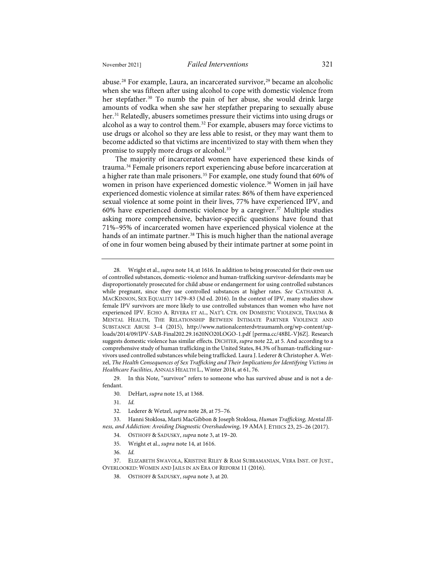<span id="page-7-0"></span>abuse.<sup>[28](#page-7-1)</sup> For example, Laura, an incarcerated survivor,<sup>[29](#page-7-2)</sup> became an alcoholic when she was fifteen after using alcohol to cope with domestic violence from her stepfather.<sup>[30](#page-7-3)</sup> To numb the pain of her abuse, she would drink large amounts of vodka when she saw her stepfather preparing to sexually abuse her.<sup>[31](#page-7-4)</sup> Relatedly, abusers sometimes pressure their victims into using drugs or alcohol as a way to control them.[32](#page-7-5) For example, abusers may force victims to use drugs or alcohol so they are less able to resist, or they may want them to become addicted so that victims are incentivized to stay with them when they promise to supply more drugs or alcohol.<sup>[33](#page-7-6)</sup>

<span id="page-7-13"></span><span id="page-7-12"></span>The majority of incarcerated women have experienced these kinds of trauma.[34](#page-7-7) Female prisoners report experiencing abuse before incarceration at a higher rate than male prisoners.<sup>[35](#page-7-8)</sup> For example, one study found that 60% of women in prison have experienced domestic violence.<sup>[36](#page-7-9)</sup> Women in jail have experienced domestic violence at similar rates: 86% of them have experienced sexual violence at some point in their lives, 77% have experienced IPV, and 60% have experienced domestic violence by a caregiver.[37](#page-7-10) Multiple studies asking more comprehensive, behavior-specific questions have found that 71%–95% of incarcerated women have experienced physical violence at the hands of an intimate partner.<sup>[38](#page-7-11)</sup> This is much higher than the national average of one in four women being abused by their intimate partner at some point in

<span id="page-7-3"></span><span id="page-7-2"></span>29. In this Note, "survivor" refers to someone who has survived abuse and is not a defendant.

- 30. DeHart, *supra* not[e 15,](#page-5-0) at 1368.
- 31. *Id.*
- 32. Lederer & Wetzel, *supra* not[e 28,](#page-7-0) at 75–76.

<span id="page-7-8"></span><span id="page-7-7"></span><span id="page-7-6"></span><span id="page-7-5"></span><span id="page-7-4"></span>33. Hanni Stoklosa, Marti MacGibbon & Joseph Stoklosa, *Human Trafficking, Mental Illness, and Addiction: Avoiding Diagnostic Overshadowing*, 19 AMA J. ETHICS 23, 25–26 (2017).

- 34. OSTHOFF & SADUSKY, *supra* note [3,](#page-2-4) at 19–20.
- 35. Wright et al., *supra* not[e 14,](#page-4-6) at 1616.
- 36. *Id.*

<span id="page-7-11"></span><span id="page-7-10"></span><span id="page-7-9"></span>37. ELIZABETH SWAVOLA, KRISTINE RILEY & RAM SUBRAMANIAN, VERA INST. OF JUST., OVERLOOKED: WOMEN AND JAILS IN AN ERA OF REFORM 11 (2016).

<span id="page-7-1"></span><sup>28.</sup> Wright et al., *supra* not[e 14,](#page-4-6) at 1616. In addition to being prosecuted for their own use of controlled substances, domestic-violence and human-trafficking survivor-defendants may be disproportionately prosecuted for child abuse or endangerment for using controlled substances while pregnant, since they use controlled substances at higher rates. *See* CATHARINE A. MACKINNON, SEX EQUALITY 1479–83 (3d ed. 2016). In the context of IPV, many studies show female IPV survivors are more likely to use controlled substances than women who have not experienced IPV. ECHO A. RIVERA ET AL., NAT'L CTR. ON DOMESTIC VIOLENCE, TRAUMA & MENTAL HEALTH, THE RELATIONSHIP BETWEEN INTIMATE PARTNER VIOLENCE AND SUBSTANCE ABUSE 3–4 (2015), [http://www.nationalcenterdvtraumamh.org/wp-content/up](http://www.nationalcenterdvtraumamh.org/wp-content/uploads/2014/09/IPV-SAB-Final202.29.1620NO20LOGO-1.pdf)[loads/2014/09/IPV-SAB-Final202.29.1620NO20LOGO-1.pdf](http://www.nationalcenterdvtraumamh.org/wp-content/uploads/2014/09/IPV-SAB-Final202.29.1620NO20LOGO-1.pdf) [\[perma.cc/48BL-VJ6Z\]](https://perma.cc/48BL-VJ6Z). Research suggests domestic violence has similar effects. DICHTER, *supra* not[e 22,](#page-6-8) at 5. And according to a comprehensive study of human trafficking in the United States, 84.3% of human-trafficking survivors used controlled substances while being trafficked. Laura J. Lederer & Christopher A. Wetzel, *The Health Consequences of Sex Trafficking and Their Implications for Identifying Victims in Healthcare Facilities*, ANNALS HEALTH L., Winter 2014, at 61, 76.

<sup>38.</sup> OSTHOFF & SADUSKY, *supra* not[e 3,](#page-2-4) at 20.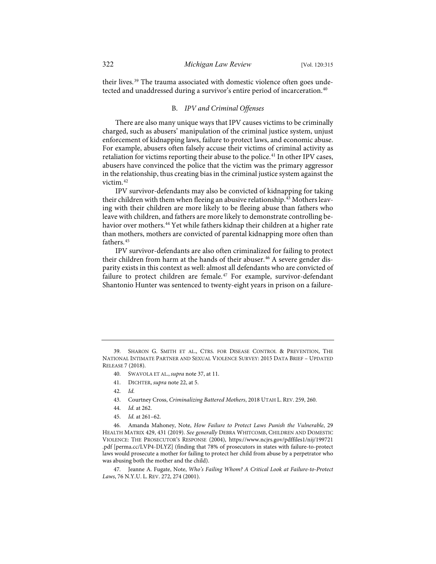their lives.<sup>[39](#page-8-0)</sup> The trauma associated with domestic violence often goes unde-tected and unaddressed during a survivor's entire period of incarceration.<sup>[40](#page-8-1)</sup>

#### <span id="page-8-9"></span>B. *IPV and Criminal Offenses*

There are also many unique ways that IPV causes victims to be criminally charged, such as abusers' manipulation of the criminal justice system, unjust enforcement of kidnapping laws, failure to protect laws, and economic abuse. For example, abusers often falsely accuse their victims of criminal activity as retaliation for victims reporting their abuse to the police.<sup>[41](#page-8-2)</sup> In other IPV cases, abusers have convinced the police that the victim was the primary aggressor in the relationship, thus creating bias in the criminal justice system against the victim.[42](#page-8-3)

IPV survivor-defendants may also be convicted of kidnapping for taking their children with them when fleeing an abusive relationship.<sup>[43](#page-8-4)</sup> Mothers leaving with their children are more likely to be fleeing abuse than fathers who leave with children, and fathers are more likely to demonstrate controlling be-havior over mothers.<sup>[44](#page-8-5)</sup> Yet while fathers kidnap their children at a higher rate than mothers, mothers are convicted of parental kidnapping more often than fathers.<sup>[45](#page-8-6)</sup>

IPV survivor-defendants are also often criminalized for failing to protect their children from harm at the hands of their abuser.<sup>[46](#page-8-7)</sup> A severe gender disparity exists in this context as well: almost all defendants who are convicted of failure to protect children are female.<sup>[47](#page-8-8)</sup> For example, survivor-defendant Shantonio Hunter was sentenced to twenty-eight years in prison on a failure-

- 40. SWAVOLA ET AL., *supra* note [37,](#page-7-12) at 11.
- 41. DICHTER, *supra* not[e 22,](#page-6-8) at 5.

- 43. Courtney Cross, *Criminalizing Battered Mothers*, 2018 UTAH L. REV. 259, 260.
- 44. *Id.* at 262.
- 45. *Id.* at 261–62.

<span id="page-8-7"></span><span id="page-8-6"></span><span id="page-8-5"></span><span id="page-8-4"></span><span id="page-8-3"></span>46. Amanda Mahoney, Note, *How Failure to Protect Laws Punish the Vulnerable*, 29 HEALTH MATRIX 429, 431 (2019). *See generally* DEBRA WHITCOMB, CHILDREN AND DOMESTIC VIOLENCE: THE PROSECUTOR'S RESPONSE (2004), [https://www.ncjrs.gov/pdffiles1/nij/199721](https://www.ncjrs.gov/pdffiles1/nij%E2%80%8C/199721.pdf) [.pdf](https://www.ncjrs.gov/pdffiles1/nij%E2%80%8C/199721.pdf) [\[perma.cc/LVP4-DLYZ\]](https://perma.cc/LVP4-DLYZ) (finding that 78% of prosecutors in states with failure-to-protect laws would prosecute a mother for failing to protect her child from abuse by a perpetrator who was abusing both the mother and the child).

<span id="page-8-8"></span>47. Jeanne A. Fugate, Note, *Who's Failing Whom? A Critical Look at Failure-to-Protect Laws*, 76 N.Y.U. L. REV. 272, 274 (2001).

<span id="page-8-2"></span><span id="page-8-1"></span><span id="page-8-0"></span><sup>39.</sup> SHARON G. SMITH ET AL., CTRS. FOR DISEASE CONTROL & PREVENTION, THE NATIONAL INTIMATE PARTNER AND SEXUAL VIOLENCE SURVEY: 2015 DATA BRIEF – UPDATED RELEASE 7 (2018).

<sup>42.</sup> *Id.*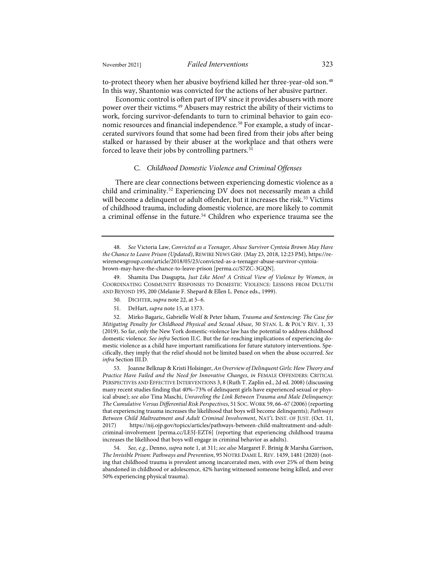to-protect theory when her abusive boyfriend killed her three-year-old son.<sup>[48](#page-9-0)</sup> In this way, Shantonio was convicted for the actions of her abusive partner.

Economic control is often part of IPV since it provides abusers with more power over their victims.[49](#page-9-1) Abusers may restrict the ability of their victims to work, forcing survivor-defendants to turn to criminal behavior to gain eco-nomic resources and financial independence.<sup>[50](#page-9-2)</sup> For example, a study of incarcerated survivors found that some had been fired from their jobs after being stalked or harassed by their abuser at the workplace and that others were forced to leave their jobs by controlling partners.<sup>[51](#page-9-3)</sup>

#### <span id="page-9-7"></span>C. *Childhood Domestic Violence and Criminal Offenses*

There are clear connections between experiencing domestic violence as a child and criminality.[52](#page-9-4) Experiencing DV does not necessarily mean a child will become a delinquent or adult offender, but it increases the risk.<sup>[53](#page-9-5)</sup> Victims of childhood trauma, including domestic violence, are more likely to commit a criminal offense in the future.[54](#page-9-6) Children who experience trauma see the

<span id="page-9-1"></span>49. Shamita Das Dasgupta, *Just Like Men? A Critical View of Violence by Women*, *in* COORDINATING COMMUNITY RESPONSES TO DOMESTIC VIOLENCE: LESSONS FROM DULUTH AND BEYOND 195, 200 (Melanie F. Shepard & Ellen L. Pence eds., 1999).

- 50. DICHTER, *supra* not[e 22,](#page-6-8) at 5–6.
- 51. DeHart, *supra* not[e 15,](#page-5-0) at 1373.

<span id="page-9-4"></span><span id="page-9-3"></span><span id="page-9-2"></span>52. Mirko Bagaric, Gabrielle Wolf & Peter Isham, *Trauma and Sentencing: The Case for Mitigating Penalty for Childhood Physical and Sexual Abuse*, 30 STAN. L. & POL'Y REV. 1, 33 (2019). So far, only the New York domestic-violence law has the potential to address childhood domestic violence. *See infra* Section II.C. But the far-reaching implications of experiencing domestic violence as a child have important ramifications for future statutory interventions. Specifically, they imply that the relief should not be limited based on when the abuse occurred. *See infra* Section III.D.

<span id="page-9-5"></span>53. Joanne Belknap & Kristi Holsinger, *An Overview of Delinquent Girls: How Theory and Practice Have Failed and the Need for Innovative Changes*, *in* FEMALE OFFENDERS: CRITICAL PERSPECTIVES AND EFFECTIVE INTERVENTIONS 3, 8 (Ruth T. Zaplin ed., 2d ed. 2008) (discussing many recent studies finding that 40%–73% of delinquent girls have experienced sexual or physical abuse); *see also* Tina Maschi, *Unraveling the Link Between Trauma and Male Delinquency: The Cumulative Versus Differential Risk Perspectives*, 51 SOC.WORK 59, 66–67 (2006) (reporting that experiencing trauma increases the likelihood that boys will become delinquents); *Pathways Between Child Maltreatment and Adult Criminal Involvement*, NAT'L INST. OF JUST. (Oct. 11, 2017) [https://nij.ojp.gov/topics/articles/pathways-between-child-maltreatment-and-adult](https://nij.ojp.gov/topics/articles/pathways-between-child-maltreatment-and-adult-criminal-involvement)[criminal-involvement](https://nij.ojp.gov/topics/articles/pathways-between-child-maltreatment-and-adult-criminal-involvement) [\[perma.cc/LE5J-EZT6\]](https://perma.cc/LE5J-EZT6) (reporting that experiencing childhood trauma increases the likelihood that boys will engage in criminal behavior as adults).

<span id="page-9-6"></span>54. *See, e.g.*, Denno, *supra* not[e 1,](#page-2-5) at 311; *see also* Margaret F. Brinig & Marsha Garrison, *The Invisible Prison: Pathways and Prevention*, 95 NOTRE DAME L. REV. 1439, 1481 (2020) (noting that childhood trauma is prevalent among incarcerated men, with over 25% of them being abandoned in childhood or adolescence, 42% having witnessed someone being killed, and over 50% experiencing physical trauma).

<span id="page-9-0"></span><sup>48.</sup> *See* Victoria Law, *Convicted as a Teenager, Abuse Survivor Cyntoia Brown May Have the Chance to Leave Prison (Updated)*, REWIRE NEWS GRP. (May 23, 2018, 12:23 PM)[, https://re](https://rewirenewsgroup.com/article/2018/05/23/convicted-as-a-teenager-abuse-survivor-cyntoia-brown-may-have-the-chance-to-leave-prison/)[wirenewsgroup.com/article/2018/05/23/convicted-as-a-teenager-abuse-survivor-cyntoia](https://rewirenewsgroup.com/article/2018/05/23/convicted-as-a-teenager-abuse-survivor-cyntoia-brown-may-have-the-chance-to-leave-prison/)[brown-may-have-the-chance-to-leave-prison](https://rewirenewsgroup.com/article/2018/05/23/convicted-as-a-teenager-abuse-survivor-cyntoia-brown-may-have-the-chance-to-leave-prison/) [\[perma.cc/S7ZC-3GQN\]](https://perma.cc/S7ZC-3GQN).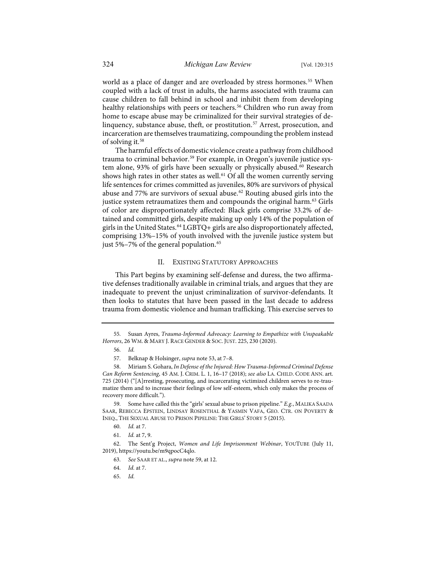world as a place of danger and are overloaded by stress hormones.<sup>[55](#page-10-1)</sup> When coupled with a lack of trust in adults, the harms associated with trauma can cause children to fall behind in school and inhibit them from developing healthy relationships with peers or teachers.<sup>[56](#page-10-2)</sup> Children who run away from home to escape abuse may be criminalized for their survival strategies of de-linquency, substance abuse, theft, or prostitution.<sup>[57](#page-10-3)</sup> Arrest, prosecution, and incarceration are themselves traumatizing, compounding the problem instead of solving it.[58](#page-10-4)

<span id="page-10-0"></span>The harmful effects of domestic violence create a pathway from childhood trauma to criminal behavior.<sup>[59](#page-10-5)</sup> For example, in Oregon's juvenile justice sys-tem alone, 93% of girls have been sexually or physically abused.<sup>[60](#page-10-6)</sup> Research shows high rates in other states as well.<sup>[61](#page-10-7)</sup> Of all the women currently serving life sentences for crimes committed as juveniles, 80% are survivors of physical abuse and 77% are survivors of sexual abuse.<sup>[62](#page-10-8)</sup> Routing abused girls into the justice system retraumatizes them and compounds the original harm.<sup>[63](#page-10-9)</sup> Girls of color are disproportionately affected: Black girls comprise 33.2% of detained and committed girls, despite making up only 14% of the population of girls in the United States.[64](#page-10-10) LGBTQ+ girls are also disproportionately affected, comprising 13%–15% of youth involved with the juvenile justice system but just 5%–7% of the general population.<sup>[65](#page-10-11)</sup>

#### II. EXISTING STATUTORY APPROACHES

This Part begins by examining self-defense and duress, the two affirmative defenses traditionally available in criminal trials, and argues that they are inadequate to prevent the unjust criminalization of survivor-defendants. It then looks to statutes that have been passed in the last decade to address trauma from domestic violence and human trafficking. This exercise serves to

<span id="page-10-2"></span><span id="page-10-1"></span><sup>55.</sup> Susan Ayres, *Trauma-Informed Advocacy: Learning to Empathize with Unspeakable Horrors*, 26 WM. & MARY J. RACE GENDER & SOC. JUST. 225, 230 (2020).

<sup>56.</sup> *Id.*

<sup>57.</sup> Belknap & Holsinger, *supra* not[e 53,](#page-9-7) at 7–8.

<span id="page-10-4"></span><span id="page-10-3"></span><sup>58.</sup> Miriam S. Gohara, *In Defense of the Injured: How Trauma-Informed Criminal Defense Can Reform Sentencing*, 45 AM. J. CRIM. L. 1, 16–17 (2018); *see also* LA. CHILD. CODE ANN. art. 725 (2014) ("[A]rresting, prosecuting, and incarcerating victimized children serves to re-traumatize them and to increase their feelings of low self-esteem, which only makes the process of recovery more difficult.").

<span id="page-10-5"></span><sup>59.</sup> Some have called this the "girls' sexual abuse to prison pipeline." *E.g.*, MALIKA SAADA SAAR, REBECCA EPSTEIN, LINDSAY ROSENTHAL & YASMIN VAFA, GEO. CTR. ON POVERTY & INEQ., THE SEXUAL ABUSE TO PRISON PIPELINE: THE GIRLS' STORY 5 (2015).

<sup>60.</sup> *Id.* at 7.

<sup>61.</sup> *Id.* at 7, 9.

<span id="page-10-11"></span><span id="page-10-10"></span><span id="page-10-9"></span><span id="page-10-8"></span><span id="page-10-7"></span><span id="page-10-6"></span><sup>62.</sup> The Sent'g Project, *Women and Life Imprisonment Webinar*, YOUTUBE (July 11, 2019)[, https://youtu.be/m9qpocC4qlo.](https://youtu.be/m9qpocC4qlo)

<sup>63.</sup> *See* SAAR ET AL., *supra* not[e 59,](#page-10-0) at 12.

<sup>64.</sup> *Id.* at 7.

<sup>65.</sup> *Id.*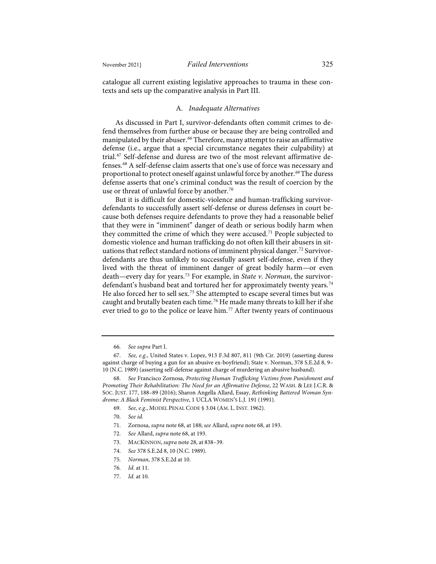catalogue all current existing legislative approaches to trauma in these contexts and sets up the comparative analysis in Part III.

#### A. *Inadequate Alternatives*

As discussed in Part I, survivor-defendants often commit crimes to defend themselves from further abuse or because they are being controlled and manipulated by their abuser.<sup>[66](#page-11-1)</sup> Therefore, many attempt to raise an affirmative defense (i.e., argue that a special circumstance negates their culpability) at trial.<sup>[67](#page-11-2)</sup> Self-defense and duress are two of the most relevant affirmative defenses.[68](#page-11-3) A self-defense claim asserts that one's use of force was necessary and proportional to protect oneself against unlawful force by another.<sup>[69](#page-11-4)</sup>The duress defense asserts that one's criminal conduct was the result of coercion by the use or threat of unlawful force by another.<sup>[70](#page-11-5)</sup>

<span id="page-11-0"></span>But it is difficult for domestic-violence and human-trafficking survivordefendants to successfully assert self-defense or duress defenses in court because both defenses require defendants to prove they had a reasonable belief that they were in "imminent" danger of death or serious bodily harm when they committed the crime of which they were accused.<sup>[71](#page-11-6)</sup> People subjected to domestic violence and human trafficking do not often kill their abusers in sit-uations that reflect standard notions of imminent physical danger.<sup>[72](#page-11-7)</sup> Survivordefendants are thus unlikely to successfully assert self-defense, even if they lived with the threat of imminent danger of great bodily harm—or even death—every day for years.[73](#page-11-8) For example, in *State v. Norman*, the survivor-defendant's husband beat and tortured her for approximately twenty years.<sup>[74](#page-11-9)</sup> He also forced her to sell sex.<sup>[75](#page-11-10)</sup> She attempted to escape several times but was caught and brutally beaten each time.[76](#page-11-11) He made many threats to kill her if she ever tried to go to the police or leave him.<sup>[77](#page-11-12)</sup> After twenty years of continuous

<sup>66.</sup> *See supra* Part I.

<span id="page-11-2"></span><span id="page-11-1"></span><sup>67.</sup> *See, e.g.*, United States v. Lopez, 913 F.3d 807, 811 (9th Cir. 2019) (asserting duress against charge of buying a gun for an abusive ex-boyfriend); State v. Norman, 378 S.E.2d 8, 9– 10 (N.C. 1989) (asserting self-defense against charge of murdering an abusive husband).

<span id="page-11-6"></span><span id="page-11-5"></span><span id="page-11-4"></span><span id="page-11-3"></span><sup>68.</sup> *See* Francisco Zornosa, *Protecting Human Trafficking Victims from Punishment and Promoting Their Rehabilitation: The Need for an Affirmative Defense*, 22 WASH. & LEE J.C.R. & SOC. JUST. 177, 188–89 (2016); Sharon Angella Allard, Essay, *Rethinking Battered Woman Syndrome: A Black Feminist Perspective*, 1 UCLA WOMEN'S L.J. 191 (1991).

<sup>69.</sup> *See, e.g.*, MODEL PENAL CODE § 3.04 (AM. L. INST. 1962).

<sup>70.</sup> *See id.*

<sup>71.</sup> Zornosa, *supra* not[e 68,](#page-11-0) at 188; *see* Allard, *supra* not[e 68,](#page-11-0) at 193.

<span id="page-11-8"></span><span id="page-11-7"></span><sup>72.</sup> *See* Allard, *supra* not[e 68,](#page-11-0) at 193.

<sup>73.</sup> MACKINNON, *supra* not[e 28,](#page-7-0) at 838–39.

<span id="page-11-9"></span><sup>74.</sup> *See* 378 S.E.2d 8, 10 (N.C. 1989).

<span id="page-11-10"></span><sup>75.</sup> *Norman*, 378 S.E.2d at 10.

<sup>76.</sup> *Id.* at 11.

<span id="page-11-12"></span><span id="page-11-11"></span><sup>77.</sup> *Id.* at 10.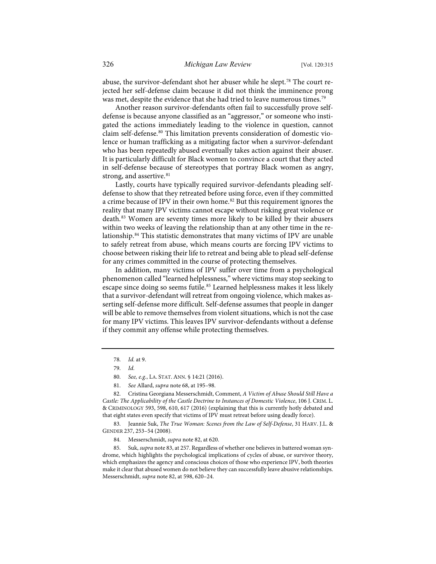abuse, the survivor-defendant shot her abuser while he slept.<sup>[78](#page-12-2)</sup> The court rejected her self-defense claim because it did not think the imminence prong was met, despite the evidence that she had tried to leave numerous times.<sup>[79](#page-12-3)</sup>

Another reason survivor-defendants often fail to successfully prove selfdefense is because anyone classified as an "aggressor," or someone who instigated the actions immediately leading to the violence in question, cannot claim self-defense.<sup>[80](#page-12-4)</sup> This limitation prevents consideration of domestic violence or human trafficking as a mitigating factor when a survivor-defendant who has been repeatedly abused eventually takes action against their abuser. It is particularly difficult for Black women to convince a court that they acted in self-defense because of stereotypes that portray Black women as angry, strong, and assertive.<sup>[81](#page-12-5)</sup>

<span id="page-12-1"></span><span id="page-12-0"></span>Lastly, courts have typically required survivor-defendants pleading selfdefense to show that they retreated before using force, even if they committed a crime because of IPV in their own home.<sup>[82](#page-12-6)</sup> But this requirement ignores the reality that many IPV victims cannot escape without risking great violence or death.[83](#page-12-7) Women are seventy times more likely to be killed by their abusers within two weeks of leaving the relationship than at any other time in the relationship.[84](#page-12-8) This statistic demonstrates that many victims of IPV are unable to safely retreat from abuse, which means courts are forcing IPV victims to choose between risking their life to retreat and being able to plead self-defense for any crimes committed in the course of protecting themselves.

In addition, many victims of IPV suffer over time from a psychological phenomenon called "learned helplessness," where victims may stop seeking to escape since doing so seems futile.<sup>[85](#page-12-9)</sup> Learned helplessness makes it less likely that a survivor-defendant will retreat from ongoing violence, which makes asserting self-defense more difficult. Self-defense assumes that people in danger will be able to remove themselves from violent situations, which is not the case for many IPV victims. This leaves IPV survivor-defendants without a defense if they commit any offense while protecting themselves.

<span id="page-12-6"></span><span id="page-12-5"></span><span id="page-12-4"></span><span id="page-12-3"></span><span id="page-12-2"></span>82. Cristina Georgiana Messerschmidt, Comment, *A Victim of Abuse Should Still Have a Castle: The Applicability of the Castle Doctrine to Instances of Domestic Violence*, 106 J. CRIM. L. & CRIMINOLOGY 593, 598, 610, 617 (2016) (explaining that this is currently hotly debated and that eight states even specify that victims of IPV must retreat before using deadly force).

<span id="page-12-7"></span>83. Jeannie Suk, *The True Woman: Scenes from the Law of Self-Defense*, 31 HARV. J.L. & GENDER 237, 253–54 (2008).

<span id="page-12-9"></span><span id="page-12-8"></span>85. Suk, *supra* not[e 83,](#page-12-1) at 257. Regardless of whether one believes in battered woman syndrome, which highlights the psychological implications of cycles of abuse, or survivor theory, which emphasizes the agency and conscious choices of those who experience IPV, both theories make it clear that abused women do not believe they can successfully leave abusive relationships. Messerschmidt, *supra* not[e 82,](#page-12-0) at 598, 620–24.

<sup>78.</sup> *Id.* at 9.

<sup>79.</sup> *Id.*

<sup>80.</sup> *See, e.g.*, LA. STAT. ANN. § 14:21 (2016).

<sup>81.</sup> *See* Allard, *supra* not[e 68,](#page-11-0) at 195–98.

<sup>84.</sup> Messerschmidt, *supra* not[e 82,](#page-12-0) at 620.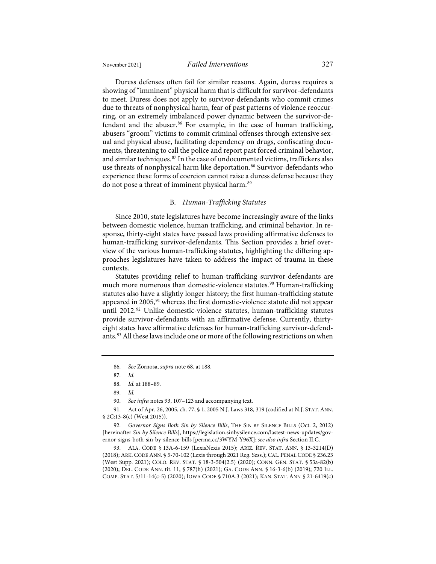Duress defenses often fail for similar reasons. Again, duress requires a showing of "imminent" physical harm that is difficult for survivor-defendants to meet. Duress does not apply to survivor-defendants who commit crimes due to threats of nonphysical harm, fear of past patterns of violence reoccurring, or an extremely imbalanced power dynamic between the survivor-de-fendant and the abuser.<sup>[86](#page-13-1)</sup> For example, in the case of human trafficking, abusers "groom" victims to commit criminal offenses through extensive sexual and physical abuse, facilitating dependency on drugs, confiscating documents, threatening to call the police and report past forced criminal behavior, and similar techniques.[87](#page-13-2) In the case of undocumented victims, traffickers also use threats of nonphysical harm like deportation.<sup>[88](#page-13-3)</sup> Survivor-defendants who experience these forms of coercion cannot raise a duress defense because they do not pose a threat of imminent physical harm.<sup>[89](#page-13-4)</sup>

#### B. *Human-Trafficking Statutes*

Since 2010, state legislatures have become increasingly aware of the links between domestic violence, human trafficking, and criminal behavior. In response, thirty-eight states have passed laws providing affirmative defenses to human-trafficking survivor-defendants. This Section provides a brief overview of the various human-trafficking statutes, highlighting the differing approaches legislatures have taken to address the impact of trauma in these contexts.

<span id="page-13-10"></span><span id="page-13-9"></span>Statutes providing relief to human-trafficking survivor-defendants are much more numerous than domestic-violence statutes.<sup>[90](#page-13-5)</sup> Human-trafficking statutes also have a slightly longer history; the first human-trafficking statute appeared in 2005,<sup>[91](#page-13-6)</sup> whereas the first domestic-violence statute did not appear until 2012.<sup>[92](#page-13-7)</sup> Unlike domestic-violence statutes, human-trafficking statutes provide survivor-defendants with an affirmative defense. Currently, thirtyeight states have affirmative defenses for human-trafficking survivor-defend-ants.<sup>[93](#page-13-8)</sup> All these laws include one or more of the following restrictions on when

<span id="page-13-8"></span>93. ALA. CODE § 13A-6-159 (LexisNexis 2015); ARIZ. REV. STAT. ANN. § 13-3214(D) (2018); ARK. CODE ANN. § 5-70-102 (Lexis through 2021 Reg. Sess.); CAL. PENAL CODE § 236.23 (West Supp. 2021); COLO. REV. STAT. § 18-3-504(2.5) (2020); CONN. GEN. STAT. § 53a-82(b) (2020); DEL. CODE ANN. tit. 11, § 787(h) (2021); GA. CODE ANN. § 16-3-6(b) (2019); 720 ILL. COMP. STAT. 5/11-14(c-5) (2020); IOWA CODE § 710A.3 (2021); KAN. STAT. ANN § 21-6419(c)

<span id="page-13-0"></span><sup>86.</sup> *See* Zornosa, *supra* note [68,](#page-11-0) at 188.

<sup>87.</sup> *Id.*

<sup>88.</sup> *Id.* at 188–89.

<sup>89.</sup> *Id.*

<sup>90.</sup> *See infra* note[s 93,](#page-13-0) [107–](#page-16-0)[123](#page-18-0) and accompanying text.

<span id="page-13-6"></span><span id="page-13-5"></span><span id="page-13-4"></span><span id="page-13-3"></span><span id="page-13-2"></span><span id="page-13-1"></span><sup>91.</sup> Act of Apr. 26, 2005, ch. 77, § 1, 2005 N.J. Laws 318, 319 (codified at N.J. STAT. ANN. § 2C:13-8(c) (West 2015)).

<span id="page-13-7"></span><sup>92.</sup> *Governor Signs Both Sin by Silence Bills*, THE SIN BY SILENCE BILLS (Oct. 2, 2012) [hereinafter *Sin by Silence Bills*][, https://legislation.sinbysilence.com/lastest-news-updates/gov](https://legislation.sinbysilence.com/lastest-news-updates/governor-signs-both-sin-by-silence-bills)[ernor-signs-both-sin-by-silence-bills](https://legislation.sinbysilence.com/lastest-news-updates/governor-signs-both-sin-by-silence-bills) [\[perma.cc/3WYM-Y96X\]](https://perma.cc/3WYM-Y96X); *see also infra* Section II.C.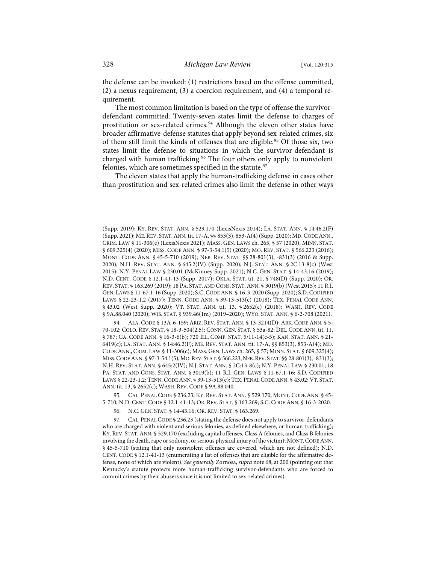the defense can be invoked: (1) restrictions based on the offense committed, (2) a nexus requirement, (3) a coercion requirement, and (4) a temporal requirement.

<span id="page-14-5"></span><span id="page-14-4"></span>The most common limitation is based on the type of offense the survivordefendant committed. Twenty-seven states limit the defense to charges of prostitution or sex-related crimes.<sup>[94](#page-14-0)</sup> Although the eleven other states have broader affirmative-defense statutes that apply beyond sex-related crimes, six of them still limit the kinds of offenses that are eligible.<sup>[95](#page-14-1)</sup> Of those six, two states limit the defense to situations in which the survivor-defendant is charged with human trafficking.<sup>[96](#page-14-2)</sup> The four others only apply to nonviolent felonies, which are sometimes specified in the statute.<sup>[97](#page-14-3)</sup>

The eleven states that apply the human-trafficking defense in cases other than prostitution and sex-related crimes also limit the defense in other ways

<span id="page-14-0"></span>94. ALA. CODE § 13A-6-159; ARIZ. REV. STAT. ANN. § 13-3214(D); ARK. CODE ANN. § 5- 70-102; COLO. REV. STAT. § 18-3-504(2.5); CONN. GEN. STAT. § 53a-82; DEL. CODE ANN. tit. 11, § 787; GA. CODE ANN. § 16-3-6(b); 720 ILL. COMP. STAT. 5/11-14(c-5); KAN. STAT. ANN. § 21- 6419(c); LA. STAT. ANN. § 14:46.2(F); ME. REV. STAT. ANN. tit. 17-A, §§ 853(3), 853-A(4); MD. CODE ANN., CRIM. LAW § 11-306(c); MASS. GEN. LAWS ch. 265, § 57; MINN. STAT. § 609.325(4); MISS. CODE ANN. § 97-3-54.1(5); MO. REV. STAT. § 566.223; NEB. REV. STAT. § 28-801(3), -831(3); N.H. REV. STAT. ANN. § 645:2(IV); N.J. STAT. ANN. § 2C:13-8(c); N.Y. PENAL LAW § 230.01; 18 PA. STAT. AND CONS. STAT. ANN. § 3019(b); 11 R.I. GEN. LAWS § 11-67.1-16; S.D. CODIFIED LAWS § 22-23-1.2; TENN.CODE ANN. § 39-13-513(e); TEX. PENAL CODE ANN. § 43.02; VT. STAT. ANN. tit. 13, § 2652(c); WASH. REV. CODE § 9A.88.040.

<span id="page-14-1"></span>95. CAL. PENAL CODE § 236.23; KY. REV. STAT. ANN. § 529.170; MONT. CODE ANN. § 45- 5-710; N.D. CENT. CODE § 12.1-41-13; OR. REV. STAT. § 163.269; S.C. CODE ANN. § 16-3-2020.

96. N.C. GEN. STAT. § 14-43.16; OR. REV. STAT. § 163.269.

<span id="page-14-3"></span><span id="page-14-2"></span>97. CAL. PENAL CODE § 236.23 (stating the defense does not apply to survivor-defendants who are charged with violent and serious felonies, as defined elsewhere, or human trafficking); KY. REV. STAT. ANN. § 529.170 (excluding capital offenses, Class A felonies, and Class B felonies involving the death, rape or sodomy, or serious physical injury of the victim); MONT.CODE ANN. § 45-5-710 (stating that only nonviolent offenses are covered, which are not defined); N.D. CENT. CODE § 12.1-41-13 (enumerating a list of offenses that are eligible for the affirmative defense, none of which are violent). *See generally* Zornosa, *supra* not[e 68,](#page-11-0) at 200 (pointing out that Kentucky's statute protects more human-trafficking survivor-defendants who are forced to commit crimes by their abusers since it is not limited to sex-related crimes).

<sup>(</sup>Supp. 2019); KY. REV. STAT. ANN. § 529.170 (LexisNexis 2014); LA. STAT. ANN. § 14:46.2(F) (Supp. 2021); ME. REV. STAT.ANN. tit. 17-A, §§ 853(3), 853-A(4) (Supp. 2020); MD.CODE ANN., CRIM. LAW § 11-306(c) (LexisNexis 2021); MASS. GEN. LAWS ch. 265, § 57 (2020); MINN. STAT. § 609.325(4) (2020); MISS. CODE ANN. § 97-3-54.1(5) (2020); MO. REV. STAT. § 566.223 (2016); MONT. CODE ANN. § 45-5-710 (2019); NEB. REV. STAT. §§ 28-801(3), -831(3) (2016 & Supp. 2020); N.H. REV. STAT. ANN. § 645:2(IV) (Supp. 2020); N.J. STAT. ANN. § 2C:13-8(c) (West 2015); N.Y. PENAL LAW § 230.01 (McKinney Supp. 2021); N.C. GEN. STAT. § 14-43.16 (2019); N.D. CENT. CODE § 12.1-41-13 (Supp. 2017); OKLA. STAT. tit. 21, § 748(D) (Supp. 2020); OR. REV. STAT. § 163.269 (2019); 18 PA. STAT. AND CONS. STAT.ANN. § 3019(b) (West 2015); 11 R.I. GEN. LAWS § 11-67.1-16 (Supp. 2020); S.C.CODE ANN. § 16-3-2020 (Supp. 2020); S.D.CODIFIED LAWS § 22-23-1.2 (2017); TENN. CODE ANN. § 39-13-513(e) (2018); TEX. PENAL CODE ANN. § 43.02 (West Supp. 2020); VT. STAT. ANN. tit. 13, § 2652(c) (2018); WASH. REV. CODE § 9A.88.040 (2020); WIS. STAT. § 939.46(1m) (2019–2020); WYO. STAT. ANN. § 6-2-708 (2021).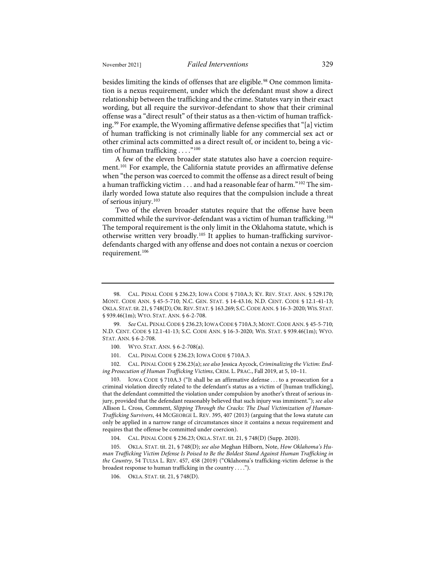besides limiting the kinds of offenses that are eligible.<sup>[98](#page-15-0)</sup> One common limitation is a nexus requirement, under which the defendant must show a direct relationship between the trafficking and the crime. Statutes vary in their exact wording, but all require the survivor-defendant to show that their criminal offense was a "direct result" of their status as a then-victim of human traffick-ing.<sup>[99](#page-15-1)</sup> For example, the Wyoming affirmative defense specifies that "[a] victim of human trafficking is not criminally liable for any commercial sex act or other criminal acts committed as a direct result of, or incident to, being a victim of human trafficking  $\dots$ ."<sup>[100](#page-15-2)</sup>

A few of the eleven broader state statutes also have a coercion require-ment.<sup>[101](#page-15-3)</sup> For example, the California statute provides an affirmative defense when "the person was coerced to commit the offense as a direct result of being a human trafficking victim . . . and had a reasonable fear of harm."<sup>[102](#page-15-4)</sup> The similarly worded Iowa statute also requires that the compulsion include a threat of serious injury.[103](#page-15-5)

Two of the eleven broader statutes require that the offense have been committed while the survivor-defendant was a victim of human trafficking.<sup>[104](#page-15-6)</sup> The temporal requirement is the only limit in the Oklahoma statute, which is otherwise written very broadly.[105](#page-15-7) It applies to human-trafficking survivordefendants charged with any offense and does not contain a nexus or coercion requirement.[106](#page-15-8)

<span id="page-15-4"></span><span id="page-15-3"></span><span id="page-15-2"></span>102. CAL. PENAL CODE § 236.23(a); *see also* Jessica Aycock, *Criminalizing the Victim: Ending Prosecution of Human Trafficking Victims*, CRIM. L. PRAC., Fall 2019, at 5, 10–11.

<span id="page-15-5"></span>IOWA CODE § 710A.3 ("It shall be an affirmative defense . . . to a prosecution for a criminal violation directly related to the defendant's status as a victim of [human trafficking], that the defendant committed the violation under compulsion by another's threat of serious injury, provided that the defendant reasonably believed that such injury was imminent."); *see also* Allison L. Cross, Comment, *Slipping Through the Cracks: The Dual Victimization of Human-Trafficking Survivors*, 44 MCGEORGE L. REV. 395, 407 (2013) (arguing that the Iowa statute can only be applied in a narrow range of circumstances since it contains a nexus requirement and requires that the offense be committed under coercion).

104. CAL. PENAL CODE § 236.23; OKLA. STAT. tit. 21, § 748(D) (Supp. 2020).

<span id="page-15-8"></span><span id="page-15-7"></span><span id="page-15-6"></span>105. OKLA. STAT. tit. 21, § 748(D); *see also* Meghan Hilborn, Note, *How Oklahoma's Human Trafficking Victim Defense Is Poised to Be the Boldest Stand Against Human Trafficking in the Country*, 54 TULSA L. REV. 457, 458 (2019) ("Oklahoma's trafficking-victim defense is the broadest response to human trafficking in the country . . . .").

106. OKLA. STAT. tit. 21, § 748(D).

<span id="page-15-0"></span><sup>98.</sup> CAL. PENAL CODE § 236.23; IOWA CODE § 710A.3; KY. REV. STAT. ANN. § 529.170; MONT. CODE ANN. § 45-5-710; N.C. GEN. STAT. § 14-43.16; N.D. CENT. CODE § 12.1-41-13; OKLA. STAT.tit. 21, § 748(D); OR.REV. STAT. § 163.269; S.C.CODE ANN. § 16-3-2020; WIS. STAT. § 939.46(1m); WYO. STAT. ANN. § 6-2-708.

<span id="page-15-1"></span><sup>99.</sup> *See* CAL. PENAL CODE § 236.23; IOWA CODE § 710A.3; MONT.CODE ANN. § 45-5-710; N.D. CENT. CODE § 12.1-41-13; S.C. CODE ANN. § 16-3-2020; WIS. STAT. § 939.46(1m); WYO. STAT. ANN. § 6-2-708.

<sup>100.</sup> WYO. STAT. ANN. § 6-2-708(a).

<sup>101.</sup> CAL. PENAL CODE § 236.23; IOWA CODE § 710A.3.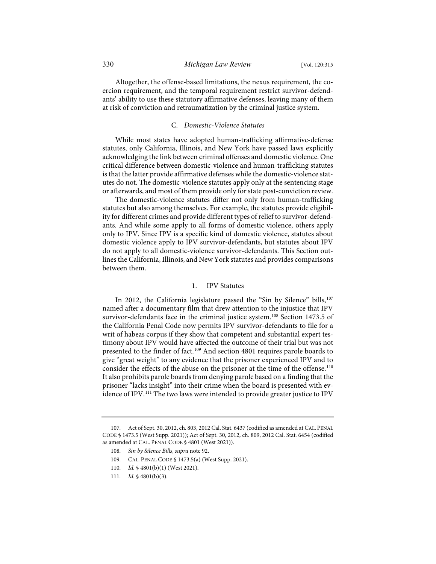Altogether, the offense-based limitations, the nexus requirement, the coercion requirement, and the temporal requirement restrict survivor-defendants' ability to use these statutory affirmative defenses, leaving many of them at risk of conviction and retraumatization by the criminal justice system.

#### C. *Domestic-Violence Statutes*

While most states have adopted human-trafficking affirmative-defense statutes, only California, Illinois, and New York have passed laws explicitly acknowledging the link between criminal offenses and domestic violence. One critical difference between domestic-violence and human-trafficking statutes is that the latter provide affirmative defenses while the domestic-violence statutes do not. The domestic-violence statutes apply only at the sentencing stage or afterwards, and most of them provide only for state post-conviction review.

The domestic-violence statutes differ not only from human-trafficking statutes but also among themselves. For example, the statutes provide eligibility for different crimes and provide different types of relief to survivor-defendants. And while some apply to all forms of domestic violence, others apply only to IPV. Since IPV is a specific kind of domestic violence, statutes about domestic violence apply to IPV survivor-defendants, but statutes about IPV do not apply to all domestic-violence survivor-defendants. This Section outlines the California, Illinois, and New York statutes and provides comparisons between them.

#### <span id="page-16-0"></span>1. IPV Statutes

In 2012, the California legislature passed the "Sin by Silence" bills,<sup>[107](#page-16-1)</sup> named after a documentary film that drew attention to the injustice that IPV survivor-defendants face in the criminal justice system.<sup>[108](#page-16-2)</sup> Section 1473.5 of the California Penal Code now permits IPV survivor-defendants to file for a writ of habeas corpus if they show that competent and substantial expert testimony about IPV would have affected the outcome of their trial but was not presented to the finder of fact.[109](#page-16-3) And section 4801 requires parole boards to give "great weight" to any evidence that the prisoner experienced IPV and to consider the effects of the abuse on the prisoner at the time of the offense.<sup>[110](#page-16-4)</sup> It also prohibits parole boards from denying parole based on a finding that the prisoner "lacks insight" into their crime when the board is presented with ev-idence of IPV.<sup>[111](#page-16-5)</sup> The two laws were intended to provide greater justice to IPV

<span id="page-16-4"></span><span id="page-16-3"></span><span id="page-16-2"></span><span id="page-16-1"></span><sup>107.</sup> Act of Sept. 30, 2012, ch. 803, 2012 Cal. Stat. 6437 (codified as amended at CAL. PENAL CODE § 1473.5 (West Supp. 2021)); Act of Sept. 30, 2012, ch. 809, 2012 Cal. Stat. 6454 (codified as amended at CAL. PENAL CODE § 4801 (West 2021)).

<sup>108.</sup> *Sin by Silence Bills*, *supra* not[e 92.](#page-13-9)

<sup>109.</sup> CAL. PENAL CODE § 1473.5(a) (West Supp. 2021).

<sup>110.</sup> *Id.* § 4801(b)(1) (West 2021).

<span id="page-16-5"></span><sup>111.</sup> *Id.* § 4801(b)(3).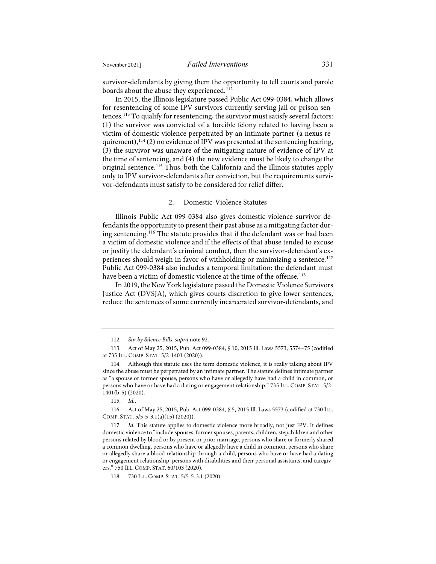survivor-defendants by giving them the opportunity to tell courts and parole boards about the abuse they experienced.<sup>[112](#page-17-0)</sup>

In 2015, the Illinois legislature passed Public Act 099-0384, which allows for resentencing of some IPV survivors currently serving jail or prison sentences.[113](#page-17-1) To qualify for resentencing, the survivor must satisfy several factors: (1) the survivor was convicted of a forcible felony related to having been a victim of domestic violence perpetrated by an intimate partner (a nexus requirement),  $114$  (2) no evidence of IPV was presented at the sentencing hearing, (3) the survivor was unaware of the mitigating nature of evidence of IPV at the time of sentencing, and (4) the new evidence must be likely to change the original sentence.<sup>[115](#page-17-3)</sup> Thus, both the California and the Illinois statutes apply only to IPV survivor-defendants after conviction, but the requirements survivor-defendants must satisfy to be considered for relief differ.

#### 2. Domestic-Violence Statutes

Illinois Public Act 099-0384 also gives domestic-violence survivor-defendants the opportunity to present their past abuse as a mitigating factor during sentencing.[116](#page-17-4) The statute provides that if the defendant was or had been a victim of domestic violence and if the effects of that abuse tended to excuse or justify the defendant's criminal conduct, then the survivor-defendant's ex-periences should weigh in favor of withholding or minimizing a sentence.<sup>[117](#page-17-5)</sup> Public Act 099-0384 also includes a temporal limitation: the defendant must have been a victim of domestic violence at the time of the offense.<sup>[118](#page-17-6)</sup>

In 2019, the New York legislature passed the Domestic Violence Survivors Justice Act (DVSJA), which gives courts discretion to give lower sentences, reduce the sentences of some currently incarcerated survivor-defendants, and

<sup>112.</sup> *Sin by Silence Bills*, *supra* not[e 92.](#page-13-9)

<span id="page-17-1"></span><span id="page-17-0"></span><sup>113.</sup> Act of May 25, 2015, Pub. Act 099-0384, § 10, 2015 Ill. Laws 5573, 5574–75 (codified at 735 ILL. COMP. STAT. 5/2-1401 (2020)).

<span id="page-17-2"></span><sup>114.</sup> Although this statute uses the term domestic violence, it is really talking about IPV since the abuse must be perpetrated by an intimate partner. The statute defines intimate partner as "a spouse or former spouse, persons who have or allegedly have had a child in common, or persons who have or have had a dating or engagement relationship." 735 ILL. COMP. STAT. 5/2- 1401(b-5) (2020).

<sup>115.</sup> *Id.*.

<span id="page-17-4"></span><span id="page-17-3"></span><sup>116.</sup> Act of May 25, 2015, Pub. Act 099-0384, § 5, 2015 Ill. Laws 5573 (codified at 730 ILL. COMP. STAT. 5/5-5-3.1(a)(15) (2020)).

<span id="page-17-5"></span><sup>117.</sup> *Id.* This statute applies to domestic violence more broadly, not just IPV. It defines domestic violence to "include spouses, former spouses, parents, children, stepchildren and other persons related by blood or by present or prior marriage, persons who share or formerly shared a common dwelling, persons who have or allegedly have a child in common, persons who share or allegedly share a blood relationship through a child, persons who have or have had a dating or engagement relationship, persons with disabilities and their personal assistants, and caregivers." 750 ILL. COMP. STAT. 60/103 (2020).

<span id="page-17-6"></span><sup>118.</sup> 730 ILL. COMP. STAT. 5/5-5-3.1 (2020).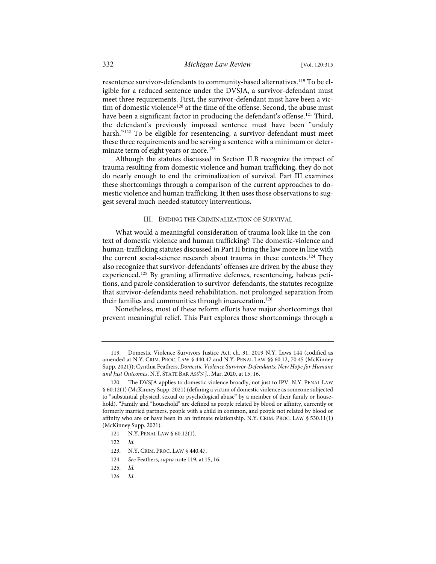<span id="page-18-1"></span>resentence survivor-defendants to community-based alternatives.<sup>[119](#page-18-2)</sup> To be eligible for a reduced sentence under the DVSJA, a survivor-defendant must meet three requirements. First, the survivor-defendant must have been a vic-tim of domestic violence<sup>[120](#page-18-3)</sup> at the time of the offense. Second, the abuse must have been a significant factor in producing the defendant's offense.<sup>[121](#page-18-4)</sup> Third, the defendant's previously imposed sentence must have been "unduly harsh."<sup>[122](#page-18-5)</sup> To be eligible for resentencing, a survivor-defendant must meet these three requirements and be serving a sentence with a minimum or deter-minate term of eight years or more.<sup>[123](#page-18-6)</sup>

Although the statutes discussed in Section II.B recognize the impact of trauma resulting from domestic violence and human trafficking, they do not do nearly enough to end the criminalization of survival. Part III examines these shortcomings through a comparison of the current approaches to domestic violence and human trafficking. It then uses those observations to suggest several much-needed statutory interventions.

#### <span id="page-18-0"></span>III. ENDING THE CRIMINALIZATION OF SURVIVAL

What would a meaningful consideration of trauma look like in the context of domestic violence and human trafficking? The domestic-violence and human-trafficking statutes discussed in Part II bring the law more in line with the current social-science research about trauma in these contexts.<sup>[124](#page-18-7)</sup> They also recognize that survivor-defendants' offenses are driven by the abuse they experienced.<sup>[125](#page-18-8)</sup> By granting affirmative defenses, resentencing, habeas petitions, and parole consideration to survivor-defendants, the statutes recognize that survivor-defendants need rehabilitation, not prolonged separation from their families and communities through incarceration.<sup>[126](#page-18-9)</sup>

Nonetheless, most of these reform efforts have major shortcomings that prevent meaningful relief. This Part explores those shortcomings through a

<span id="page-18-7"></span>124. *See* Feathers, *supra* not[e 119,](#page-18-1) at 15, 16.

<span id="page-18-9"></span>126. *Id.*

<span id="page-18-2"></span><sup>119.</sup> Domestic Violence Survivors Justice Act, ch. 31, 2019 N.Y. Laws 144 (codified as amended at N.Y. CRIM. PROC. LAW § 440.47 and N.Y. PENAL LAW §§ 60.12, 70.45 (McKinney Supp. 2021)); Cynthia Feathers, *Domestic Violence Survivor-Defendants: New Hope for Humane and Just Outcomes*, N.Y. STATE BAR ASS'N J., Mar. 2020, at 15, 16.

<span id="page-18-3"></span><sup>120.</sup> The DVSJA applies to domestic violence broadly, not just to IPV. N.Y. PENAL LAW § 60.12(1) (McKinney Supp. 2021) (defining a victim of domestic violence as someone subjected to "substantial physical, sexual or psychological abuse" by a member of their family or household). "Family and "household" are defined as people related by blood or affinity, currently or formerly married partners, people with a child in common, and people not related by blood or affinity who are or have been in an intimate relationship. N.Y. CRIM. PROC. LAW § 530.11(1) (McKinney Supp. 2021).

<span id="page-18-4"></span><sup>121.</sup> N.Y. PENAL LAW § 60.12(1).

<span id="page-18-5"></span><sup>122.</sup> *Id.*

<span id="page-18-6"></span><sup>123.</sup> N.Y. CRIM. PROC. LAW § 440.47.

<span id="page-18-8"></span><sup>125.</sup> *Id.*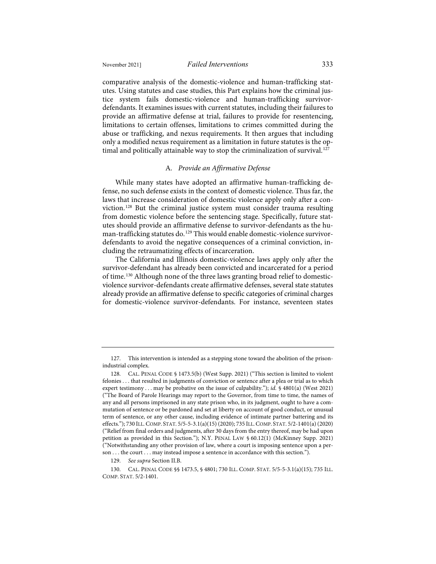comparative analysis of the domestic-violence and human-trafficking statutes. Using statutes and case studies, this Part explains how the criminal justice system fails domestic-violence and human-trafficking survivordefendants. It examines issues with current statutes, including their failures to provide an affirmative defense at trial, failures to provide for resentencing, limitations to certain offenses, limitations to crimes committed during the abuse or trafficking, and nexus requirements. It then argues that including only a modified nexus requirement as a limitation in future statutes is the op-timal and politically attainable way to stop the criminalization of survival.<sup>[127](#page-19-0)</sup>

#### A. *Provide an Affirmative Defense*

While many states have adopted an affirmative human-trafficking defense, no such defense exists in the context of domestic violence. Thus far, the laws that increase consideration of domestic violence apply only after a conviction.[128](#page-19-1) But the criminal justice system must consider trauma resulting from domestic violence before the sentencing stage. Specifically, future statutes should provide an affirmative defense to survivor-defendants as the hu-man-trafficking statutes do.<sup>[129](#page-19-2)</sup> This would enable domestic-violence survivordefendants to avoid the negative consequences of a criminal conviction, including the retraumatizing effects of incarceration.

The California and Illinois domestic-violence laws apply only after the survivor-defendant has already been convicted and incarcerated for a period of time.[130](#page-19-3) Although none of the three laws granting broad relief to domesticviolence survivor-defendants create affirmative defenses, several state statutes already provide an affirmative defense to specific categories of criminal charges for domestic-violence survivor-defendants. For instance, seventeen states

<span id="page-19-0"></span><sup>127.</sup> This intervention is intended as a stepping stone toward the abolition of the prisonindustrial complex.

<span id="page-19-1"></span><sup>128.</sup> CAL. PENAL CODE § 1473.5(b) (West Supp. 2021) ("This section is limited to violent felonies . . . that resulted in judgments of conviction or sentence after a plea or trial as to which expert testimony . . . may be probative on the issue of culpability."); *id.* § 4801(a) (West 2021) ("The Board of Parole Hearings may report to the Governor, from time to time, the names of any and all persons imprisoned in any state prison who, in its judgment, ought to have a commutation of sentence or be pardoned and set at liberty on account of good conduct, or unusual term of sentence, or any other cause, including evidence of intimate partner battering and its effects."); 730 ILL.COMP. STAT. 5/5-5-3.1(a)(15) (2020); 735 ILL.COMP. STAT. 5/2-1401(a) (2020) ("Relief from final orders and judgments, after 30 days from the entry thereof, may be had upon petition as provided in this Section."); N.Y. PENAL LAW § 60.12(1) (McKinney Supp. 2021) ("Notwithstanding any other provision of law, where a court is imposing sentence upon a person . . . the court . . . may instead impose a sentence in accordance with this section.").

<sup>129.</sup> *See supra* Section II.B.

<span id="page-19-3"></span><span id="page-19-2"></span><sup>130.</sup> CAL. PENAL CODE §§ 1473.5, § 4801; 730 ILL. COMP. STAT. 5/5-5-3.1(a)(15); 735 ILL. COMP. STAT. 5/2-1401.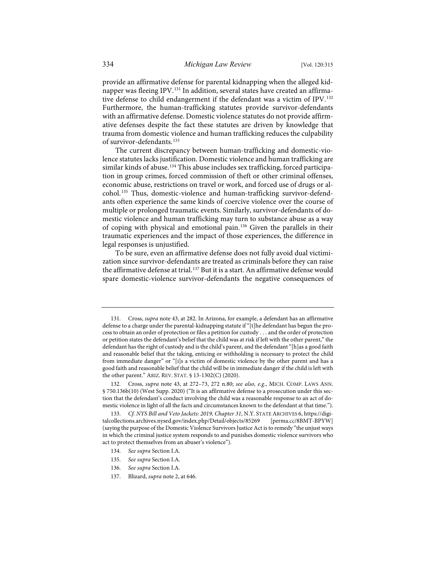provide an affirmative defense for parental kidnapping when the alleged kid-napper was fleeing IPV.<sup>[131](#page-20-0)</sup> In addition, several states have created an affirmative defense to child endangerment if the defendant was a victim of IPV.[132](#page-20-1) Furthermore, the human-trafficking statutes provide survivor-defendants with an affirmative defense. Domestic violence statutes do not provide affirmative defenses despite the fact these statutes are driven by knowledge that trauma from domestic violence and human trafficking reduces the culpability of survivor-defendants.<sup>[133](#page-20-2)</sup>

The current discrepancy between human-trafficking and domestic-violence statutes lacks justification. Domestic violence and human trafficking are similar kinds of abuse.<sup>[134](#page-20-3)</sup> This abuse includes sex trafficking, forced participation in group crimes, forced commission of theft or other criminal offenses, economic abuse, restrictions on travel or work, and forced use of drugs or alcohol.[135](#page-20-4) Thus, domestic-violence and human-trafficking survivor-defendants often experience the same kinds of coercive violence over the course of multiple or prolonged traumatic events. Similarly, survivor-defendants of domestic violence and human trafficking may turn to substance abuse as a way of coping with physical and emotional pain.[136](#page-20-5) Given the parallels in their traumatic experiences and the impact of those experiences, the difference in legal responses is unjustified.

To be sure, even an affirmative defense does not fully avoid dual victimization since survivor-defendants are treated as criminals before they can raise the affirmative defense at trial.<sup>[137](#page-20-6)</sup> But it is a start. An affirmative defense would spare domestic-violence survivor-defendants the negative consequences of

- 134. *See supra* Section I.A.
- <span id="page-20-4"></span>135. *See supra* Section I.A.
- <span id="page-20-5"></span>136. *See supra* Section I.A.
- <span id="page-20-6"></span>137. Blizard, *supra* not[e 2,](#page-2-6) at 646.

<span id="page-20-0"></span><sup>131.</sup> Cross, *supra* not[e 43,](#page-8-9) at 282. In Arizona, for example, a defendant has an affirmative defense to a charge under the parental-kidnapping statute if "[t]he defendant has begun the process to obtain an order of protection or files a petition for custody . . . and the order of protection or petition states the defendant's belief that the child was at risk if left with the other parent," the defendant has the right of custody and is the child's parent, and the defendant "[h]as a good faith and reasonable belief that the taking, enticing or withholding is necessary to protect the child from immediate danger" or "[i]s a victim of domestic violence by the other parent and has a good faith and reasonable belief that the child will be in immediate danger if the child is left with the other parent." ARIZ. REV. STAT. § 13-1302(C) (2020).

<span id="page-20-1"></span><sup>132.</sup> Cross, *supra* note [43,](#page-8-9) at 272–73, 272 n.80; *see also, e.g.*, MICH. COMP. LAWS ANN. § 750.136b(10) (West Supp. 2020) ("It is an affirmative defense to a prosecution under this section that the defendant's conduct involving the child was a reasonable response to an act of domestic violence in light of all the facts and circumstances known to the defendant at that time.").

<span id="page-20-3"></span><span id="page-20-2"></span><sup>133.</sup> *Cf. NYS Bill and Veto Jackets: 2019, Chapter 31*, N.Y. STATE ARCHIVES 6, [https://digi](https://digitalcollections.archives.nysed.gov/index.php/Detail/objects/85269)[talcollections.archives.nysed.gov/index.php/Detail/objects/85269](https://digitalcollections.archives.nysed.gov/index.php/Detail/objects/85269) [\[perma.cc/8BMT-BPYW\]](https://perma.cc/8BMT-BPYW) (saying the purpose of the Domestic Violence Survivors Justice Act is to remedy "the unjust ways in which the criminal justice system responds to and punishes domestic violence survivors who act to protect themselves from an abuser's violence").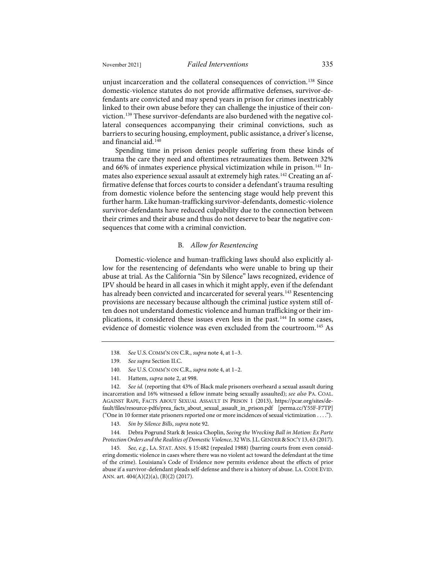unjust incarceration and the collateral consequences of conviction.<sup>[138](#page-21-0)</sup> Since domestic-violence statutes do not provide affirmative defenses, survivor-defendants are convicted and may spend years in prison for crimes inextricably linked to their own abuse before they can challenge the injustice of their conviction.[139](#page-21-1) These survivor-defendants are also burdened with the negative collateral consequences accompanying their criminal convictions, such as barriers to securing housing, employment, public assistance, a driver's license, and financial aid.[140](#page-21-2)

Spending time in prison denies people suffering from these kinds of trauma the care they need and oftentimes retraumatizes them. Between 32% and 66% of inmates experience physical victimization while in prison.<sup>[141](#page-21-3)</sup> In-mates also experience sexual assault at extremely high rates.<sup>[142](#page-21-4)</sup> Creating an affirmative defense that forces courts to consider a defendant's trauma resulting from domestic violence before the sentencing stage would help prevent this further harm. Like human-trafficking survivor-defendants, domestic-violence survivor-defendants have reduced culpability due to the connection between their crimes and their abuse and thus do not deserve to bear the negative consequences that come with a criminal conviction.

#### B. *Allow for Resentencing*

Domestic-violence and human-trafficking laws should also explicitly allow for the resentencing of defendants who were unable to bring up their abuse at trial. As the California "Sin by Silence" laws recognized, evidence of IPV should be heard in all cases in which it might apply, even if the defendant has already been convicted and incarcerated for several years.<sup>[143](#page-21-5)</sup> Resentencing provisions are necessary because although the criminal justice system still often does not understand domestic violence and human trafficking or their implications, it considered these issues even less in the past.[144](#page-21-6) In some cases, evidence of domestic violence was even excluded from the courtroom.[145](#page-21-7) As

<span id="page-21-4"></span><span id="page-21-3"></span><span id="page-21-2"></span><span id="page-21-1"></span><span id="page-21-0"></span>142. *See id.* (reporting that 43% of Black male prisoners overheard a sexual assault during incarceration and 16% witnessed a fellow inmate being sexually assaulted); *see also* PA. COAL. AGAINST RAPE, FACTS ABOUT SEXUAL ASSAULT IN PRISON 1 (2013), [https://pcar.org/sites/de](https://pcar.org/sites/default/files/resource-pdfs/prea_facts_about_sexual_assault_in_prison.pdf)[fault/files/resource-pdfs/prea\\_facts\\_about\\_sexual\\_assault\\_in\\_prison.pdf](https://pcar.org/sites/default/files/resource-pdfs/prea_facts_about_sexual_assault_in_prison.pdf) [\[perma.cc/Y55F-F7TP\]](https://perma.cc/Y55F-F7TP) ("One in 10 former state prisoners reported one or more incidences of sexual victimization . . . .").

143. *Sin by Silence Bills*, *supra* not[e 92.](#page-13-9)

<span id="page-21-6"></span><span id="page-21-5"></span>144. Debra Pogrund Stark & Jessica Choplin, *Seeing the Wrecking Ball in Motion: Ex Parte Protection Orders and the Realities of Domestic Violence*, 32 WIS.J.L.GENDER &SOC'Y 13, 63 (2017).

<span id="page-21-7"></span>145. *See, e.g.*, LA. STAT. ANN. § 15:482 (repealed 1988) (barring courts from even considering domestic violence in cases where there was no violent act toward the defendant at the time of the crime). Louisiana's Code of Evidence now permits evidence about the effects of prior abuse if a survivor-defendant pleads self-defense and there is a history of abuse. LA. CODE EVID. ANN. art. 404(A)(2)(a), (B)(2) (2017).

<sup>138.</sup> *See* U.S. COMM'N ON C.R., *supra* not[e 4,](#page-2-7) at 1–3.

<sup>139.</sup> *See supra* Section II.C.

<sup>140.</sup> *See* U.S. COMM'N ON C.R., *supra* not[e 4,](#page-2-7) at 1–2.

<sup>141.</sup> Hattem, *supra* not[e 2,](#page-2-6) at 998.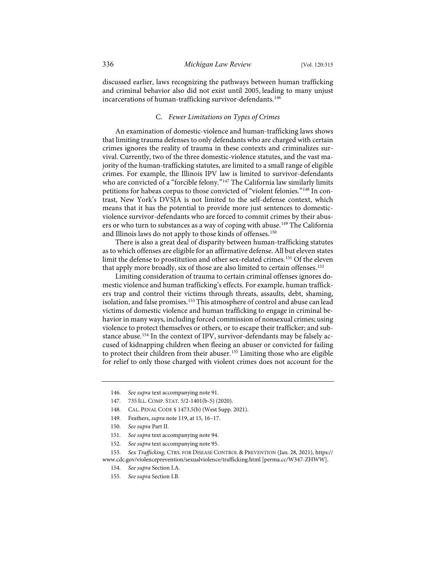discussed earlier, laws recognizing the pathways between human trafficking and criminal behavior also did not exist until 2005, leading to many unjust incarcerations of human-trafficking survivor-defendants.<sup>[146](#page-22-0)</sup>

#### C. *Fewer Limitations on Types of Crimes*

An examination of domestic-violence and human-trafficking laws shows that limiting trauma defenses to only defendants who are charged with certain crimes ignores the reality of trauma in these contexts and criminalizes survival. Currently, two of the three domestic-violence statutes, and the vast majority of the human-trafficking statutes, are limited to a small range of eligible crimes. For example, the Illinois IPV law is limited to survivor-defendants who are convicted of a "forcible felony."<sup>[147](#page-22-1)</sup> The California law similarly limits petitions for habeas corpus to those convicted of "violent felonies."<sup>[148](#page-22-2)</sup> In contrast, New York's DVSJA is not limited to the self-defense context, which means that it has the potential to provide more just sentences to domesticviolence survivor-defendants who are forced to commit crimes by their abusers or who turn to substances as a way of coping with abuse.[149](#page-22-3) The California and Illinois laws do not apply to those kinds of offenses.<sup>[150](#page-22-4)</sup>

There is also a great deal of disparity between human-trafficking statutes as to which offenses are eligible for an affirmative defense. All but eleven states limit the defense to prostitution and other sex-related crimes.[151](#page-22-5) Of the eleven that apply more broadly, six of those are also limited to certain offenses.<sup>[152](#page-22-6)</sup>

Limiting consideration of trauma to certain criminal offenses ignores domestic violence and human trafficking's effects. For example, human traffickers trap and control their victims through threats, assaults, debt, shaming, isolation, and false promises.[153](#page-22-7) This atmosphere of control and abuse can lead victims of domestic violence and human trafficking to engage in criminal behavior in many ways, including forced commission of nonsexual crimes; using violence to protect themselves or others, or to escape their trafficker; and sub-stance abuse.<sup>[154](#page-22-8)</sup> In the context of IPV, survivor-defendants may be falsely accused of kidnapping children when fleeing an abuser or convicted for failing to protect their children from their abuser.<sup>[155](#page-22-9)</sup> Limiting those who are eligible for relief to only those charged with violent crimes does not account for the

<span id="page-22-2"></span>149. Feathers, *supra* not[e 119,](#page-18-1) at 15, 16–17.

- 151. *See supra* text accompanying not[e 94.](#page-14-4)
- 152. *See supra* text accompanying not[e 95.](#page-14-5)

<span id="page-22-9"></span><span id="page-22-8"></span><span id="page-22-7"></span><span id="page-22-6"></span><span id="page-22-5"></span><span id="page-22-4"></span><span id="page-22-3"></span>153. *Sex Trafficking*, CTRS. FOR DISEASE CONTROL & PREVENTION (Jan. 28, 2021)[, https://](https://www.cdc.gov/violenceprevention/sexualviolence/trafficking.html) [www.cdc.gov/violenceprevention/sexualviolence/trafficking.html](https://www.cdc.gov/violenceprevention/sexualviolence/trafficking.html) [\[perma.cc/W347-ZHWW\]](https://perma.cc/W347-ZHWW).

155. *See supra* Section I.B.

<span id="page-22-0"></span><sup>146.</sup> *See supra* text accompanying not[e 91.](#page-13-10)

<span id="page-22-1"></span><sup>147.</sup> 735 ILL. COMP. STAT. 5/2-1401(b-5) (2020).

<sup>148.</sup> CAL. PENAL CODE § 1473.5(b) (West Supp. 2021).

<sup>150.</sup> *See supra* Part II.

<sup>154.</sup> *See supra* Section I.A.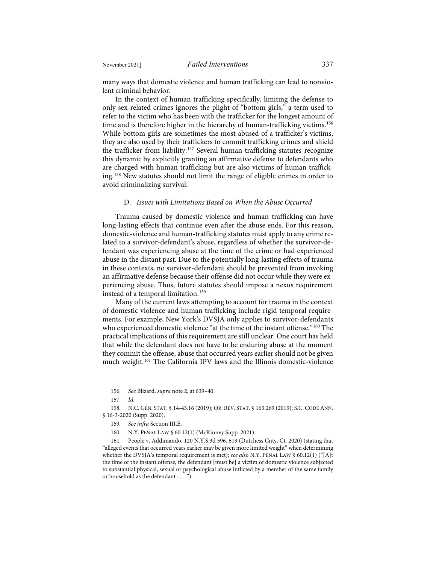many ways that domestic violence and human trafficking can lead to nonviolent criminal behavior.

In the context of human trafficking specifically, limiting the defense to only sex-related crimes ignores the plight of "bottom girls," a term used to refer to the victim who has been with the trafficker for the longest amount of time and is therefore higher in the hierarchy of human-trafficking victims.<sup>[156](#page-23-0)</sup> While bottom girls are sometimes the most abused of a trafficker's victims, they are also used by their traffickers to commit trafficking crimes and shield the trafficker from liability.[157](#page-23-1) Several human-trafficking statutes recognize this dynamic by explicitly granting an affirmative defense to defendants who are charged with human trafficking but are also victims of human trafficking.[158](#page-23-2) New statutes should not limit the range of eligible crimes in order to avoid criminalizing survival.

#### D. *Issues with Limitations Based on When the Abuse Occurred*

Trauma caused by domestic violence and human trafficking can have long-lasting effects that continue even after the abuse ends. For this reason, domestic-violence and human-trafficking statutes must apply to any crime related to a survivor-defendant's abuse, regardless of whether the survivor-defendant was experiencing abuse at the time of the crime or had experienced abuse in the distant past. Due to the potentially long-lasting effects of trauma in these contexts, no survivor-defendant should be prevented from invoking an affirmative defense because their offense did not occur while they were experiencing abuse. Thus, future statutes should impose a nexus requirement instead of a temporal limitation.<sup>[159](#page-23-3)</sup>

Many of the current laws attempting to account for trauma in the context of domestic violence and human trafficking include rigid temporal requirements. For example, New York's DVSJA only applies to survivor-defendants who experienced domestic violence "at the time of the instant offense."<sup>[160](#page-23-4)</sup> The practical implications of this requirement are still unclear. One court has held that while the defendant does not have to be enduring abuse at the moment they commit the offense, abuse that occurred years earlier should not be given much weight.[161](#page-23-5) The California IPV laws and the Illinois domestic-violence

<sup>156.</sup> *See* Blizard, *supra* note [2,](#page-2-6) at 639–40.

<sup>157.</sup> *Id.*

<span id="page-23-3"></span><span id="page-23-2"></span><span id="page-23-1"></span><span id="page-23-0"></span><sup>158.</sup> N.C. GEN. STAT. § 14-43.16 (2019); OR. REV. STAT. § 163.269 (2019); S.C. CODE ANN. § 16-3-2020 (Supp. 2020).

<sup>159.</sup> *See infra* Section III.E.

<sup>160.</sup> N.Y. PENAL LAW § 60.12(1) (McKinney Supp. 2021).

<span id="page-23-5"></span><span id="page-23-4"></span><sup>161.</sup> People v. Addimando, 120 N.Y.S.3d 596, 619 (Dutchess Cnty. Ct. 2020) (stating that "alleged events that occurred years earlier may be given more limited weight" when determining whether the DVSJA's temporal requirement is met); *see also* N.Y. PENAL LAW § 60.12(1) ("[A]t the time of the instant offense, the defendant [must be] a victim of domestic violence subjected to substantial physical, sexual or psychological abuse inflicted by a member of the same family or household as the defendant  $\dots$ .").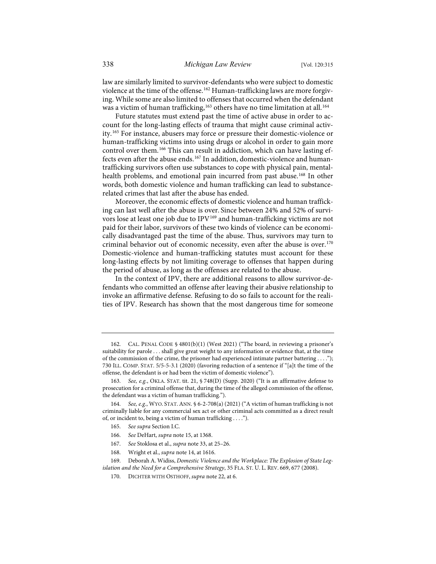law are similarly limited to survivor-defendants who were subject to domestic violence at the time of the offense.<sup>[162](#page-24-0)</sup> Human-trafficking laws are more forgiving. While some are also limited to offenses that occurred when the defendant was a victim of human trafficking,<sup>[163](#page-24-1)</sup> others have no time limitation at all.<sup>[164](#page-24-2)</sup>

Future statutes must extend past the time of active abuse in order to account for the long-lasting effects of trauma that might cause criminal activity.[165](#page-24-3) For instance, abusers may force or pressure their domestic-violence or human-trafficking victims into using drugs or alcohol in order to gain more control over them.[166](#page-24-4) This can result in addiction, which can have lasting ef-fects even after the abuse ends.<sup>[167](#page-24-5)</sup> In addition, domestic-violence and humantrafficking survivors often use substances to cope with physical pain, mental-health problems, and emotional pain incurred from past abuse.<sup>[168](#page-24-6)</sup> In other words, both domestic violence and human trafficking can lead to substancerelated crimes that last after the abuse has ended.

Moreover, the economic effects of domestic violence and human trafficking can last well after the abuse is over. Since between 24% and 52% of survi-vors lose at least one job due to IPV<sup>[169](#page-24-7)</sup> and human-trafficking victims are not paid for their labor, survivors of these two kinds of violence can be economically disadvantaged past the time of the abuse. Thus, survivors may turn to criminal behavior out of economic necessity, even after the abuse is over.<sup>[170](#page-24-8)</sup> Domestic-violence and human-trafficking statutes must account for these long-lasting effects by not limiting coverage to offenses that happen during the period of abuse, as long as the offenses are related to the abuse.

In the context of IPV, there are additional reasons to allow survivor-defendants who committed an offense after leaving their abusive relationship to invoke an affirmative defense. Refusing to do so fails to account for the realities of IPV. Research has shown that the most dangerous time for someone

<span id="page-24-0"></span><sup>162.</sup> CAL. PENAL CODE § 4801(b)(1) (West 2021) ("The board, in reviewing a prisoner's suitability for parole . . . shall give great weight to any information or evidence that, at the time of the commission of the crime, the prisoner had experienced intimate partner battering . . . ."); 730 ILL. COMP. STAT. 5/5-5-3.1 (2020) (favoring reduction of a sentence if "[a]t the time of the offense, the defendant is or had been the victim of domestic violence").

<span id="page-24-1"></span><sup>163.</sup> *See, e.g.*, OKLA. STAT. tit. 21, § 748(D) (Supp. 2020) ("It is an affirmative defense to prosecution for a criminal offense that, during the time of the alleged commission of the offense, the defendant was a victim of human trafficking.").

<span id="page-24-3"></span><span id="page-24-2"></span><sup>164.</sup> *See, e.g.*, WYO. STAT. ANN. § 6-2-708(a) (2021) ("A victim of human trafficking is not criminally liable for any commercial sex act or other criminal acts committed as a direct result of, or incident to, being a victim of human trafficking . . . .").

<sup>165.</sup> *See supra* Section I.C.

<sup>166.</sup> *See* DeHart, *supra* not[e 15,](#page-5-0) at 1368.

<sup>167.</sup> *See* Stoklosa et al., *supra* note [33,](#page-7-13) at 25–26.

<sup>168.</sup> Wright et al., *supra* not[e 14,](#page-4-6) at 1616.

<span id="page-24-8"></span><span id="page-24-7"></span><span id="page-24-6"></span><span id="page-24-5"></span><span id="page-24-4"></span><sup>169.</sup> Deborah A. Widiss, *Domestic Violence and the Workplace: The Explosion of State Legislation and the Need for a Comprehensive Strategy*, 35 FLA. ST. U. L. REV. 669, 677 (2008).

<sup>170.</sup> DICHTER WITH OSTHOFF, *supra* not[e 22,](#page-6-8) at 6.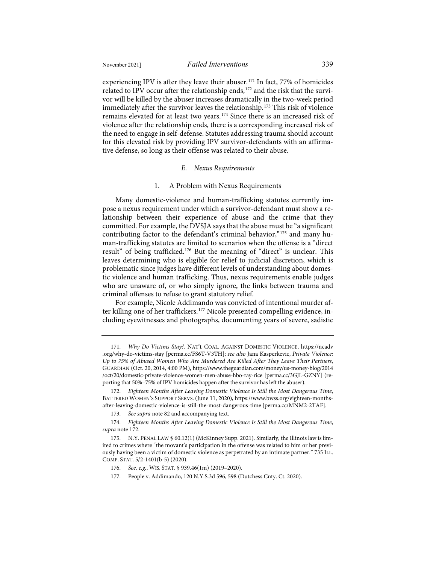experiencing IPV is after they leave their abuser.<sup>[171](#page-25-1)</sup> In fact, 77% of homicides related to IPV occur after the relationship ends,<sup>[172](#page-25-2)</sup> and the risk that the survivor will be killed by the abuser increases dramatically in the two-week period immediately after the survivor leaves the relationship.<sup>[173](#page-25-3)</sup> This risk of violence remains elevated for at least two years.<sup>[174](#page-25-4)</sup> Since there is an increased risk of violence after the relationship ends, there is a corresponding increased risk of the need to engage in self-defense. Statutes addressing trauma should account for this elevated risk by providing IPV survivor-defendants with an affirmative defense, so long as their offense was related to their abuse.

#### <span id="page-25-8"></span><span id="page-25-0"></span>*E. Nexus Requirements*

#### <span id="page-25-9"></span>1. A Problem with Nexus Requirements

Many domestic-violence and human-trafficking statutes currently impose a nexus requirement under which a survivor-defendant must show a relationship between their experience of abuse and the crime that they committed. For example, the DVSJA says that the abuse must be "a significant contributing factor to the defendant's criminal behavior,"[175](#page-25-5) and many human-trafficking statutes are limited to scenarios when the offense is a "direct result" of being trafficked.<sup>[176](#page-25-6)</sup> But the meaning of "direct" is unclear. This leaves determining who is eligible for relief to judicial discretion, which is problematic since judges have different levels of understanding about domestic violence and human trafficking. Thus, nexus requirements enable judges who are unaware of, or who simply ignore, the links between trauma and criminal offenses to refuse to grant statutory relief.

For example, Nicole Addimando was convicted of intentional murder af-ter killing one of her traffickers.<sup>[177](#page-25-7)</sup> Nicole presented compelling evidence, including eyewitnesses and photographs, documenting years of severe, sadistic

<span id="page-25-1"></span><sup>171.</sup> *Why Do Victims Stay?*, NAT'L COAL. AGAINST DOMESTIC VIOLENCE, [https://ncadv](https://ncadv.org/why-do-victims-stay) [.org/why-do-victims-stay](https://ncadv.org/why-do-victims-stay) [\[perma.cc/FS6T-V3TH\]](https://perma.cc/FS6T-V3TH); *see also* Jana Kasperkevic, *Private Violence: Up to 75% of Abused Women Who Are Murdered Are Killed After They Leave Their Partners*, GUARDIAN (Oct. 20, 2014, 4:00 PM)[, https://www.theguardian.com/money/us-money-blog/2014](https://www.theguardian.com/money/us-money-blog/2014/oct/20/domestic-private-violence-women-men-abuse-hbo-ray-rice) [/oct/20/domestic-private-violence-women-men-abuse-hbo-ray-rice](https://www.theguardian.com/money/us-money-blog/2014/oct/20/domestic-private-violence-women-men-abuse-hbo-ray-rice) [\[perma.cc/3GJL-GZNY\]](https://perma.cc/3GJL-GZNY) (reporting that 50%–75% of IPV homicides happen after the survivor has left the abuser).

<span id="page-25-2"></span><sup>172.</sup> *Eighteen Months After Leaving Domestic Violence Is Still the Most Dangerous Time*, BATTERED WOMEN'S SUPPORT SERVS. (June 11, 2020), [https://www.bwss.org/eighteen-months](https://www.bwss.org/eighteen-months-after-leaving-domestic-violence-is-still-the-most-dangerous-time/)[after-leaving-domestic-violence-is-still-the-most-dangerous-time](https://www.bwss.org/eighteen-months-after-leaving-domestic-violence-is-still-the-most-dangerous-time/) [\[perma.cc/MNM2-2TAF\]](https://perma.cc/MNM2-2TAF).

<sup>173.</sup> *See supra* not[e 82](#page-12-0) and accompanying text.

<span id="page-25-4"></span><span id="page-25-3"></span><sup>174.</sup> *Eighteen Months After Leaving Domestic Violence Is Still the Most Dangerous Time*, *supra* note [172.](#page-25-0)

<span id="page-25-7"></span><span id="page-25-6"></span><span id="page-25-5"></span><sup>175.</sup> N.Y. PENAL LAW § 60.12(1) (McKinney Supp. 2021). Similarly, the Illinois law is limited to crimes where "the movant's participation in the offense was related to him or her previously having been a victim of domestic violence as perpetrated by an intimate partner." 735 ILL. COMP. STAT. 5/2-1401(b-5) (2020).

<sup>176.</sup> *See, e.g.*, WIS. STAT. § 939.46(1m) (2019–2020).

<sup>177.</sup> People v. Addimando, 120 N.Y.S.3d 596, 598 (Dutchess Cnty. Ct. 2020).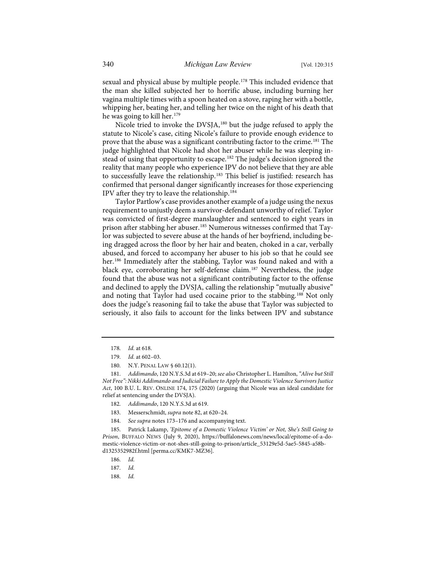sexual and physical abuse by multiple people.<sup>[178](#page-26-0)</sup> This included evidence that the man she killed subjected her to horrific abuse, including burning her vagina multiple times with a spoon heated on a stove, raping her with a bottle, whipping her, beating her, and telling her twice on the night of his death that he was going to kill her.[179](#page-26-1)

Nicole tried to invoke the DVSJA,<sup>[180](#page-26-2)</sup> but the judge refused to apply the statute to Nicole's case, citing Nicole's failure to provide enough evidence to prove that the abuse was a significant contributing factor to the crime.<sup>[181](#page-26-3)</sup> The judge highlighted that Nicole had shot her abuser while he was sleeping in-stead of using that opportunity to escape.<sup>[182](#page-26-4)</sup> The judge's decision ignored the reality that many people who experience IPV do not believe that they are able to successfully leave the relationship.<sup>[183](#page-26-5)</sup> This belief is justified: research has confirmed that personal danger significantly increases for those experiencing IPV after they try to leave the relationship.[184](#page-26-6)

Taylor Partlow's case provides another example of a judge using the nexus requirement to unjustly deem a survivor-defendant unworthy of relief. Taylor was convicted of first-degree manslaughter and sentenced to eight years in prison after stabbing her abuser.[185](#page-26-7) Numerous witnesses confirmed that Taylor was subjected to severe abuse at the hands of her boyfriend, including being dragged across the floor by her hair and beaten, choked in a car, verbally abused, and forced to accompany her abuser to his job so that he could see her.<sup>[186](#page-26-8)</sup> Immediately after the stabbing, Taylor was found naked and with a black eye, corroborating her self-defense claim.<sup>[187](#page-26-9)</sup> Nevertheless, the judge found that the abuse was not a significant contributing factor to the offense and declined to apply the DVSJA, calling the relationship "mutually abusive" and noting that Taylor had used cocaine prior to the stabbing.[188](#page-26-10) Not only does the judge's reasoning fail to take the abuse that Taylor was subjected to seriously, it also fails to account for the links between IPV and substance

<span id="page-26-4"></span><span id="page-26-3"></span><span id="page-26-2"></span><span id="page-26-1"></span><span id="page-26-0"></span>181. *Addimando*, 120 N.Y.S.3d at 619–20; *see also* Christopher L. Hamilton, *"Alive but Still Not Free": Nikki Addimando and Judicial Failure to Apply the Domestic Violence Survivors Justice Act*, 100 B.U. L. REV. ONLINE 174, 175 (2020) (arguing that Nicole was an ideal candidate for relief at sentencing under the DVSJA).

- 182. *Addimando*, 120 N.Y.S.3d at 619.
- 183. Messerschmidt, *supra* not[e 82,](#page-12-0) at 620–24.
- 184. *See supra* note[s 173](#page-25-8)[–176](#page-25-9) and accompanying text.

<span id="page-26-10"></span><span id="page-26-9"></span><span id="page-26-8"></span><span id="page-26-7"></span><span id="page-26-6"></span><span id="page-26-5"></span>185. Patrick Lakamp, *'Epitome of a Domestic Violence Victim' or Not, She's Still Going to Prison*, BUFFALO NEWS (July 9, 2020), [https://buffalonews.com/news/local/epitome-of-a-do](https://buffalonews.com/news/local/epitome-of-a-domestic-violence-victim-or-not-shes-still-going-to-prison/article_53129e5d-5ae5-5845-a58b-d1325352982f.html)[mestic-violence-victim-or-not-shes-still-going-to-prison/article\\_53129e5d-5ae5-5845-a58b](https://buffalonews.com/news/local/epitome-of-a-domestic-violence-victim-or-not-shes-still-going-to-prison/article_53129e5d-5ae5-5845-a58b-d1325352982f.html)[d1325352982f.html](https://buffalonews.com/news/local/epitome-of-a-domestic-violence-victim-or-not-shes-still-going-to-prison/article_53129e5d-5ae5-5845-a58b-d1325352982f.html) [\[perma.cc/KMK7-MZ36\]](https://perma.cc/KMK7-MZ36).

- 186. *Id.*
- 187. *Id.*
- 188. *Id.*

<sup>178.</sup> *Id.* at 618.

<sup>179.</sup> *Id.* at 602–03.

<sup>180.</sup> N.Y. PENAL LAW § 60.12(1).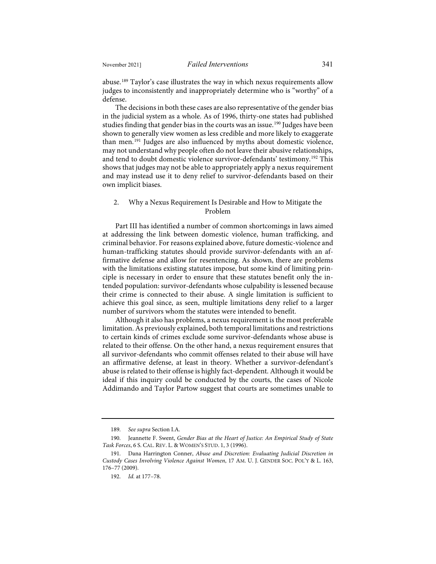abuse.[189](#page-27-0) Taylor's case illustrates the way in which nexus requirements allow judges to inconsistently and inappropriately determine who is "worthy" of a defense.

<span id="page-27-4"></span>The decisions in both these cases are also representative of the gender bias in the judicial system as a whole. As of 1996, thirty-one states had published studies finding that gender bias in the courts was an issue.<sup>[190](#page-27-1)</sup> Judges have been shown to generally view women as less credible and more likely to exaggerate than men.[191](#page-27-2) Judges are also influenced by myths about domestic violence, may not understand why people often do not leave their abusive relationships, and tend to doubt domestic violence survivor-defendants' testimony.[192](#page-27-3) This shows that judges may not be able to appropriately apply a nexus requirement and may instead use it to deny relief to survivor-defendants based on their own implicit biases.

#### 2. Why a Nexus Requirement Is Desirable and How to Mitigate the Problem

Part III has identified a number of common shortcomings in laws aimed at addressing the link between domestic violence, human trafficking, and criminal behavior. For reasons explained above, future domestic-violence and human-trafficking statutes should provide survivor-defendants with an affirmative defense and allow for resentencing. As shown, there are problems with the limitations existing statutes impose, but some kind of limiting principle is necessary in order to ensure that these statutes benefit only the intended population: survivor-defendants whose culpability is lessened because their crime is connected to their abuse. A single limitation is sufficient to achieve this goal since, as seen, multiple limitations deny relief to a larger number of survivors whom the statutes were intended to benefit.

Although it also has problems, a nexus requirement is the most preferable limitation. As previously explained, both temporal limitations and restrictions to certain kinds of crimes exclude some survivor-defendants whose abuse is related to their offense. On the other hand, a nexus requirement ensures that all survivor-defendants who commit offenses related to their abuse will have an affirmative defense, at least in theory. Whether a survivor-defendant's abuse is related to their offense is highly fact-dependent. Although it would be ideal if this inquiry could be conducted by the courts, the cases of Nicole Addimando and Taylor Partow suggest that courts are sometimes unable to

<sup>189.</sup> *See supra* Section I.A.

<span id="page-27-1"></span><span id="page-27-0"></span><sup>190.</sup> Jeannette F. Swent, *Gender Bias at the Heart of Justice: An Empirical Study of State Task Forces*, 6 S. CAL. REV. L. & WOMEN'S STUD. 1, 3 (1996).

<span id="page-27-3"></span><span id="page-27-2"></span><sup>191.</sup> Dana Harrington Conner, *Abuse and Discretion: Evaluating Judicial Discretion in Custody Cases Involving Violence Against Women*, 17 AM. U. J. GENDER SOC. POL'Y & L. 163, 176–77 (2009).

<sup>192.</sup> *Id.* at 177–78.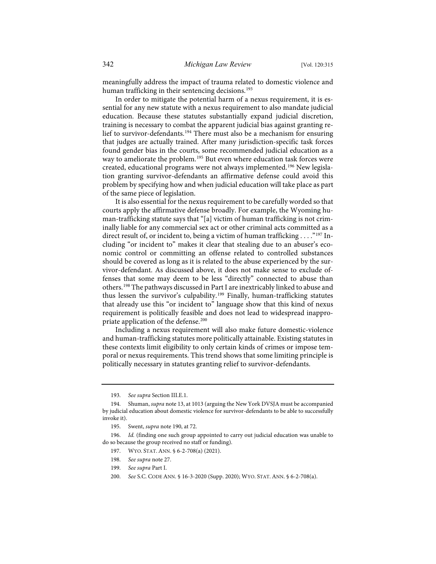meaningfully address the impact of trauma related to domestic violence and human trafficking in their sentencing decisions.<sup>[193](#page-28-0)</sup>

In order to mitigate the potential harm of a nexus requirement, it is essential for any new statute with a nexus requirement to also mandate judicial education. Because these statutes substantially expand judicial discretion, training is necessary to combat the apparent judicial bias against granting relief to survivor-defendants.[194](#page-28-1) There must also be a mechanism for ensuring that judges are actually trained. After many jurisdiction-specific task forces found gender bias in the courts, some recommended judicial education as a way to ameliorate the problem.<sup>[195](#page-28-2)</sup> But even where education task forces were created, educational programs were not always implemented.[196](#page-28-3) New legislation granting survivor-defendants an affirmative defense could avoid this problem by specifying how and when judicial education will take place as part of the same piece of legislation.

It is also essential for the nexus requirement to be carefully worded so that courts apply the affirmative defense broadly. For example, the Wyoming human-trafficking statute says that "[a] victim of human trafficking is not criminally liable for any commercial sex act or other criminal acts committed as a direct result of, or incident to, being a victim of human trafficking . . . . "[197](#page-28-4) Including "or incident to" makes it clear that stealing due to an abuser's economic control or committing an offense related to controlled substances should be covered as long as it is related to the abuse experienced by the survivor-defendant. As discussed above, it does not make sense to exclude offenses that some may deem to be less "directly" connected to abuse than others.[198](#page-28-5) The pathways discussed in Part I are inextricably linked to abuse and thus lessen the survivor's culpability.[199](#page-28-6) Finally, human-trafficking statutes that already use this "or incident to" language show that this kind of nexus requirement is politically feasible and does not lead to widespread inappro-priate application of the defense.<sup>[200](#page-28-7)</sup>

Including a nexus requirement will also make future domestic-violence and human-trafficking statutes more politically attainable. Existing statutes in these contexts limit eligibility to only certain kinds of crimes or impose temporal or nexus requirements. This trend shows that some limiting principle is politically necessary in statutes granting relief to survivor-defendants.

<sup>193.</sup> *See supra* Section III.E.1.

<span id="page-28-1"></span><span id="page-28-0"></span><sup>194.</sup> Shuman, *supra* not[e 13,](#page-4-7) at 1013 (arguing the New York DVSJA must be accompanied by judicial education about domestic violence for survivor-defendants to be able to successfully invoke it).

<sup>195.</sup> Swent, *supra* not[e 190,](#page-27-4) at 72.

<span id="page-28-7"></span><span id="page-28-6"></span><span id="page-28-5"></span><span id="page-28-4"></span><span id="page-28-3"></span><span id="page-28-2"></span><sup>196.</sup> *Id.* (finding one such group appointed to carry out judicial education was unable to do so because the group received no staff or funding).

<sup>197.</sup> WYO. STAT. ANN. § 6-2-708(a) (2021).

<sup>198.</sup> *See supra* not[e 27.](#page-6-9)

<sup>199.</sup> *See supra* Part I.

<sup>200.</sup> *See* S.C. CODE ANN. § 16-3-2020 (Supp. 2020); WYO. STAT. ANN. § 6-2-708(a).